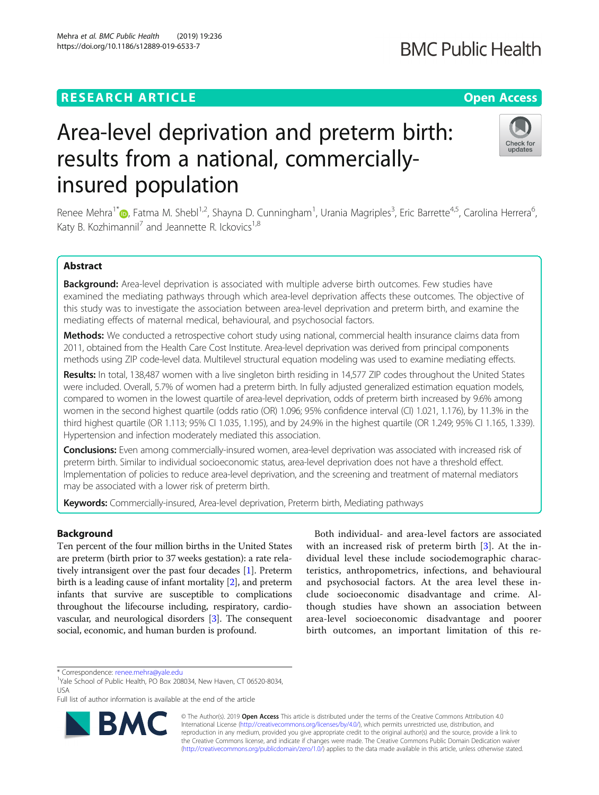# **RESEARCH ARTICLE Example 2014 12:30 The Contract of Contract ACCESS**

# Area-level deprivation and preterm birth: results from a national, commerciallyinsured population

Renee Mehra<sup>1\*</sup>�[,](http://orcid.org/0000-0002-9794-2971) Fatma M. Shebl<sup>1,2</sup>, Shayna D. Cunningham<sup>1</sup>, Urania Magriples<sup>3</sup>, Eric Barrette<sup>4,5</sup>, Carolina Herrera<sup>6</sup> , Katy B. Kozhimannil<sup>7</sup> and Jeannette R. Ickovics<sup>1,8</sup>

# Abstract

Background: Area-level deprivation is associated with multiple adverse birth outcomes. Few studies have examined the mediating pathways through which area-level deprivation affects these outcomes. The objective of this study was to investigate the association between area-level deprivation and preterm birth, and examine the mediating effects of maternal medical, behavioural, and psychosocial factors.

Methods: We conducted a retrospective cohort study using national, commercial health insurance claims data from 2011, obtained from the Health Care Cost Institute. Area-level deprivation was derived from principal components methods using ZIP code-level data. Multilevel structural equation modeling was used to examine mediating effects.

Results: In total, 138,487 women with a live singleton birth residing in 14,577 ZIP codes throughout the United States were included. Overall, 5.7% of women had a preterm birth. In fully adjusted generalized estimation equation models, compared to women in the lowest quartile of area-level deprivation, odds of preterm birth increased by 9.6% among women in the second highest quartile (odds ratio (OR) 1.096; 95% confidence interval (CI) 1.021, 1.176), by 11.3% in the third highest quartile (OR 1.113; 95% CI 1.035, 1.195), and by 24.9% in the highest quartile (OR 1.249; 95% CI 1.165, 1.339). Hypertension and infection moderately mediated this association.

Conclusions: Even among commercially-insured women, area-level deprivation was associated with increased risk of preterm birth. Similar to individual socioeconomic status, area-level deprivation does not have a threshold effect. Implementation of policies to reduce area-level deprivation, and the screening and treatment of maternal mediators may be associated with a lower risk of preterm birth.

Keywords: Commercially-insured, Area-level deprivation, Preterm birth, Mediating pathways

# Background

Ten percent of the four million births in the United States are preterm (birth prior to 37 weeks gestation): a rate relatively intransigent over the past four decades [[1\]](#page-13-0). Preterm birth is a leading cause of infant mortality [\[2](#page-13-0)], and preterm infants that survive are susceptible to complications throughout the lifecourse including, respiratory, cardiovascular, and neurological disorders [[3](#page-14-0)]. The consequent social, economic, and human burden is profound.

Both individual- and area-level factors are associated with an increased risk of preterm birth [[3\]](#page-14-0). At the individual level these include sociodemographic characteristics, anthropometrics, infections, and behavioural and psychosocial factors. At the area level these include socioeconomic disadvantage and crime. Although studies have shown an association between area-level socioeconomic disadvantage and poorer birth outcomes, an important limitation of this re-

\* Correspondence: [renee.mehra@yale.edu](mailto:renee.mehra@yale.edu) <sup>1</sup>

Full list of author information is available at the end of the article



© The Author(s). 2019 Open Access This article is distributed under the terms of the Creative Commons Attribution 4.0 International License [\(http://creativecommons.org/licenses/by/4.0/](http://creativecommons.org/licenses/by/4.0/)), which permits unrestricted use, distribution, and reproduction in any medium, provided you give appropriate credit to the original author(s) and the source, provide a link to the Creative Commons license, and indicate if changes were made. The Creative Commons Public Domain Dedication waiver [\(http://creativecommons.org/publicdomain/zero/1.0/](http://creativecommons.org/publicdomain/zero/1.0/)) applies to the data made available in this article, unless otherwise stated.



**BMC Public Health** 

<sup>&</sup>lt;sup>1</sup>Yale School of Public Health, PO Box 208034, New Haven, CT 06520-8034, USA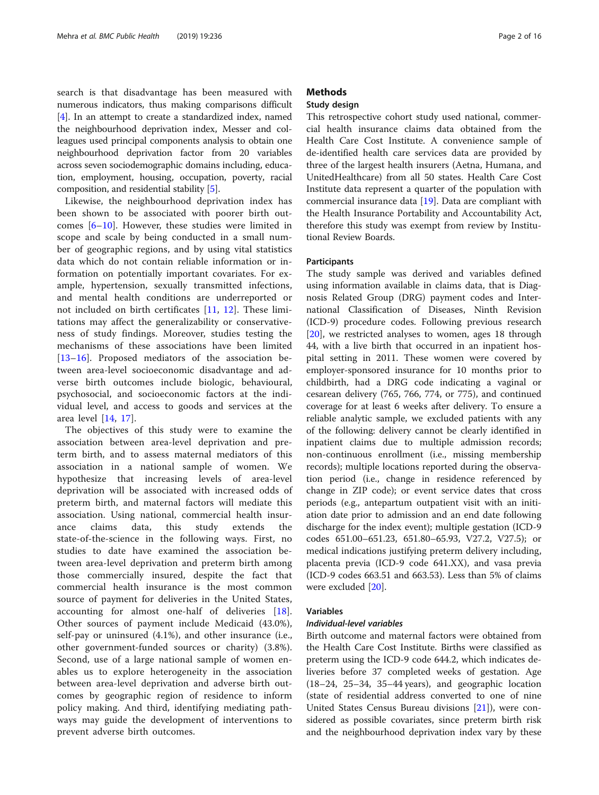search is that disadvantage has been measured with numerous indicators, thus making comparisons difficult [[4\]](#page-14-0). In an attempt to create a standardized index, named the neighbourhood deprivation index, Messer and colleagues used principal components analysis to obtain one neighbourhood deprivation factor from 20 variables across seven sociodemographic domains including, education, employment, housing, occupation, poverty, racial composition, and residential stability [[5\]](#page-14-0).

Likewise, the neighbourhood deprivation index has been shown to be associated with poorer birth outcomes [[6](#page-14-0)–[10\]](#page-14-0). However, these studies were limited in scope and scale by being conducted in a small number of geographic regions, and by using vital statistics data which do not contain reliable information or information on potentially important covariates. For example, hypertension, sexually transmitted infections, and mental health conditions are underreported or not included on birth certificates [[11](#page-14-0), [12](#page-14-0)]. These limitations may affect the generalizability or conservativeness of study findings. Moreover, studies testing the mechanisms of these associations have been limited [[13](#page-14-0)–[16\]](#page-14-0). Proposed mediators of the association between area-level socioeconomic disadvantage and adverse birth outcomes include biologic, behavioural, psychosocial, and socioeconomic factors at the individual level, and access to goods and services at the area level [[14](#page-14-0), [17](#page-14-0)].

The objectives of this study were to examine the association between area-level deprivation and preterm birth, and to assess maternal mediators of this association in a national sample of women. We hypothesize that increasing levels of area-level deprivation will be associated with increased odds of preterm birth, and maternal factors will mediate this association. Using national, commercial health insurance claims data, this study extends the state-of-the-science in the following ways. First, no studies to date have examined the association between area-level deprivation and preterm birth among those commercially insured, despite the fact that commercial health insurance is the most common source of payment for deliveries in the United States, accounting for almost one-half of deliveries [[18](#page-14-0)]. Other sources of payment include Medicaid (43.0%), self-pay or uninsured (4.1%), and other insurance (i.e., other government-funded sources or charity) (3.8%). Second, use of a large national sample of women enables us to explore heterogeneity in the association between area-level deprivation and adverse birth outcomes by geographic region of residence to inform policy making. And third, identifying mediating pathways may guide the development of interventions to prevent adverse birth outcomes.

# **Methods**

# Study design

This retrospective cohort study used national, commercial health insurance claims data obtained from the Health Care Cost Institute. A convenience sample of de-identified health care services data are provided by three of the largest health insurers (Aetna, Humana, and UnitedHealthcare) from all 50 states. Health Care Cost Institute data represent a quarter of the population with commercial insurance data [\[19\]](#page-14-0). Data are compliant with the Health Insurance Portability and Accountability Act, therefore this study was exempt from review by Institutional Review Boards.

## **Participants**

The study sample was derived and variables defined using information available in claims data, that is Diagnosis Related Group (DRG) payment codes and International Classification of Diseases, Ninth Revision (ICD-9) procedure codes. Following previous research [[20\]](#page-14-0), we restricted analyses to women, ages 18 through 44, with a live birth that occurred in an inpatient hospital setting in 2011. These women were covered by employer-sponsored insurance for 10 months prior to childbirth, had a DRG code indicating a vaginal or cesarean delivery (765, 766, 774, or 775), and continued coverage for at least 6 weeks after delivery. To ensure a reliable analytic sample, we excluded patients with any of the following: delivery cannot be clearly identified in inpatient claims due to multiple admission records; non-continuous enrollment (i.e., missing membership records); multiple locations reported during the observation period (i.e., change in residence referenced by change in ZIP code); or event service dates that cross periods (e.g., antepartum outpatient visit with an initiation date prior to admission and an end date following discharge for the index event); multiple gestation (ICD-9 codes 651.00–651.23, 651.80–65.93, V27.2, V27.5); or medical indications justifying preterm delivery including, placenta previa (ICD-9 code 641.XX), and vasa previa (ICD-9 codes 663.51 and 663.53). Less than 5% of claims were excluded [\[20](#page-14-0)].

# Variables

## Individual-level variables

Birth outcome and maternal factors were obtained from the Health Care Cost Institute. Births were classified as preterm using the ICD-9 code 644.2, which indicates deliveries before 37 completed weeks of gestation. Age (18–24, 25–34, 35–44 years), and geographic location (state of residential address converted to one of nine United States Census Bureau divisions [\[21\]](#page-14-0)), were considered as possible covariates, since preterm birth risk and the neighbourhood deprivation index vary by these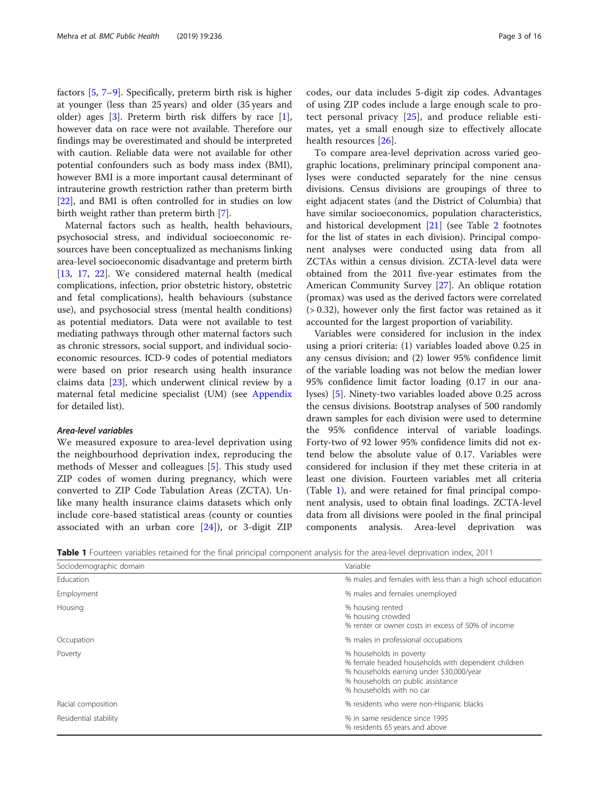factors [[5,](#page-14-0) [7](#page-14-0)–[9](#page-14-0)]. Specifically, preterm birth risk is higher at younger (less than 25 years) and older (35 years and older) ages [[3](#page-14-0)]. Preterm birth risk differs by race [\[1](#page-13-0)], however data on race were not available. Therefore our findings may be overestimated and should be interpreted with caution. Reliable data were not available for other potential confounders such as body mass index (BMI), however BMI is a more important causal determinant of intrauterine growth restriction rather than preterm birth [[22\]](#page-14-0), and BMI is often controlled for in studies on low birth weight rather than preterm birth [[7\]](#page-14-0).

Maternal factors such as health, health behaviours, psychosocial stress, and individual socioeconomic resources have been conceptualized as mechanisms linking area-level socioeconomic disadvantage and preterm birth [[13,](#page-14-0) [17,](#page-14-0) [22](#page-14-0)]. We considered maternal health (medical complications, infection, prior obstetric history, obstetric and fetal complications), health behaviours (substance use), and psychosocial stress (mental health conditions) as potential mediators. Data were not available to test mediating pathways through other maternal factors such as chronic stressors, social support, and individual socioeconomic resources. ICD-9 codes of potential mediators were based on prior research using health insurance claims data [[23](#page-14-0)], which underwent clinical review by a maternal fetal medicine specialist (UM) (see [Appendix](#page-9-0) for detailed list).

## Area-level variables

We measured exposure to area-level deprivation using the neighbourhood deprivation index, reproducing the methods of Messer and colleagues [\[5](#page-14-0)]. This study used ZIP codes of women during pregnancy, which were converted to ZIP Code Tabulation Areas (ZCTA). Unlike many health insurance claims datasets which only include core-based statistical areas (county or counties associated with an urban core  $[24]$  $[24]$ ), or 3-digit ZIP codes, our data includes 5-digit zip codes. Advantages of using ZIP codes include a large enough scale to protect personal privacy [\[25](#page-14-0)], and produce reliable estimates, yet a small enough size to effectively allocate health resources [[26\]](#page-14-0).

To compare area-level deprivation across varied geographic locations, preliminary principal component analyses were conducted separately for the nine census divisions. Census divisions are groupings of three to eight adjacent states (and the District of Columbia) that have similar socioeconomics, population characteristics, and historical development [[21\]](#page-14-0) (see Table [2](#page-4-0) footnotes for the list of states in each division). Principal component analyses were conducted using data from all ZCTAs within a census division. ZCTA-level data were obtained from the 2011 five-year estimates from the American Community Survey [\[27](#page-14-0)]. An oblique rotation (promax) was used as the derived factors were correlated (> 0.32), however only the first factor was retained as it accounted for the largest proportion of variability.

Variables were considered for inclusion in the index using a priori criteria: (1) variables loaded above 0.25 in any census division; and (2) lower 95% confidence limit of the variable loading was not below the median lower 95% confidence limit factor loading (0.17 in our analyses) [\[5](#page-14-0)]. Ninety-two variables loaded above 0.25 across the census divisions. Bootstrap analyses of 500 randomly drawn samples for each division were used to determine the 95% confidence interval of variable loadings. Forty-two of 92 lower 95% confidence limits did not extend below the absolute value of 0.17. Variables were considered for inclusion if they met these criteria in at least one division. Fourteen variables met all criteria (Table 1), and were retained for final principal component analysis, used to obtain final loadings. ZCTA-level data from all divisions were pooled in the final principal components analysis. Area-level deprivation was

Table 1 Fourteen variables retained for the final principal component analysis for the area-level deprivation index, 2011

| Sociodemographic domain | Variable                                                                                                                                                                                   |
|-------------------------|--------------------------------------------------------------------------------------------------------------------------------------------------------------------------------------------|
| Education               | % males and females with less than a high school education                                                                                                                                 |
| Employment              | % males and females unemployed                                                                                                                                                             |
| Housing                 | % housing rented<br>% housing crowded<br>% renter or owner costs in excess of 50% of income                                                                                                |
| Occupation              | % males in professional occupations                                                                                                                                                        |
| Poverty                 | % households in poverty<br>% female headed households with dependent children<br>% households earning under \$30,000/year<br>% households on public assistance<br>% households with no car |
| Racial composition      | % residents who were non-Hispanic blacks                                                                                                                                                   |
| Residential stability   | % in same residence since 1995<br>% residents 65 years and above                                                                                                                           |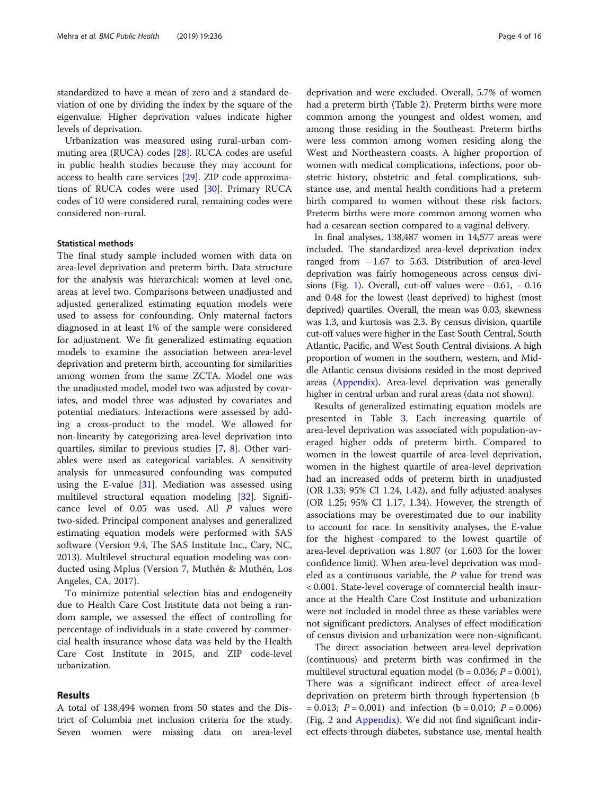standardized to have a mean of zero and a standard deviation of one by dividing the index by the square of the eigenvalue. Higher deprivation values indicate higher levels of deprivation.

Urbanization was measured using rural-urban commuting area (RUCA) codes [[28](#page-14-0)]. RUCA codes are useful in public health studies because they may account for access to health care services [\[29](#page-14-0)]. ZIP code approximations of RUCA codes were used [[30\]](#page-14-0). Primary RUCA codes of 10 were considered rural, remaining codes were considered non-rural.

#### Statistical methods

The final study sample included women with data on area-level deprivation and preterm birth. Data structure for the analysis was hierarchical: women at level one, areas at level two. Comparisons between unadjusted and adjusted generalized estimating equation models were used to assess for confounding. Only maternal factors diagnosed in at least 1% of the sample were considered for adjustment. We fit generalized estimating equation models to examine the association between area-level deprivation and preterm birth, accounting for similarities among women from the same ZCTA. Model one was the unadjusted model, model two was adjusted by covariates, and model three was adjusted by covariates and potential mediators. Interactions were assessed by adding a cross-product to the model. We allowed for non-linearity by categorizing area-level deprivation into quartiles, similar to previous studies [\[7](#page-14-0), [8\]](#page-14-0). Other variables were used as categorical variables. A sensitivity analysis for unmeasured confounding was computed using the E-value  $[31]$ . Mediation was assessed using multilevel structural equation modeling [[32](#page-14-0)]. Significance level of 0.05 was used. All P values were two-sided. Principal component analyses and generalized estimating equation models were performed with SAS software (Version 9.4, The SAS Institute Inc., Cary, NC, 2013). Multilevel structural equation modeling was conducted using Mplus (Version 7, Muthén & Muthén, Los Angeles, CA, 2017).

To minimize potential selection bias and endogeneity due to Health Care Cost Institute data not being a random sample, we assessed the effect of controlling for percentage of individuals in a state covered by commercial health insurance whose data was held by the Health Care Cost Institute in 2015, and ZIP code-level urbanization.

# Results

A total of 138,494 women from 50 states and the District of Columbia met inclusion criteria for the study. Seven women were missing data on area-level

deprivation and were excluded. Overall, 5.7% of women had a preterm birth (Table [2\)](#page-4-0). Preterm births were more common among the youngest and oldest women, and among those residing in the Southeast. Preterm births were less common among women residing along the West and Northeastern coasts. A higher proportion of women with medical complications, infections, poor obstetric history, obstetric and fetal complications, substance use, and mental health conditions had a preterm birth compared to women without these risk factors. Preterm births were more common among women who had a cesarean section compared to a vaginal delivery.

In final analyses, 138,487 women in 14,577 areas were included. The standardized area-level deprivation index ranged from − 1.67 to 5.63. Distribution of area-level deprivation was fairly homogeneous across census divisions (Fig. [1](#page-5-0)). Overall, cut-off values were − 0.61, − 0.16 and 0.48 for the lowest (least deprived) to highest (most deprived) quartiles. Overall, the mean was 0.03, skewness was 1.3, and kurtosis was 2.3. By census division, quartile cut-off values were higher in the East South Central, South Atlantic, Pacific, and West South Central divisions. A high proportion of women in the southern, western, and Middle Atlantic census divisions resided in the most deprived areas [\(Appendix](#page-9-0)). Area-level deprivation was generally higher in central urban and rural areas (data not shown).

Results of generalized estimating equation models are presented in Table [3.](#page-6-0) Each increasing quartile of area-level deprivation was associated with population-averaged higher odds of preterm birth. Compared to women in the lowest quartile of area-level deprivation, women in the highest quartile of area-level deprivation had an increased odds of preterm birth in unadjusted (OR 1.33; 95% CI 1.24, 1.42), and fully adjusted analyses (OR 1.25; 95% CI 1.17, 1.34). However, the strength of associations may be overestimated due to our inability to account for race. In sensitivity analyses, the E-value for the highest compared to the lowest quartile of area-level deprivation was 1.807 (or 1.603 for the lower confidence limit). When area-level deprivation was modeled as a continuous variable, the P value for trend was < 0.001. State-level coverage of commercial health insurance at the Health Care Cost Institute and urbanization were not included in model three as these variables were not significant predictors. Analyses of effect modification of census division and urbanization were non-significant.

The direct association between area-level deprivation (continuous) and preterm birth was confirmed in the multilevel structural equation model ( $b = 0.036$ ;  $P = 0.001$ ). There was a significant indirect effect of area-level deprivation on preterm birth through hypertension (b  $= 0.013$ ;  $P = 0.001$ ) and infection (b = 0.010;  $P = 0.006$ ) (Fig. [2](#page-6-0) and [Appendix](#page-9-0)). We did not find significant indirect effects through diabetes, substance use, mental health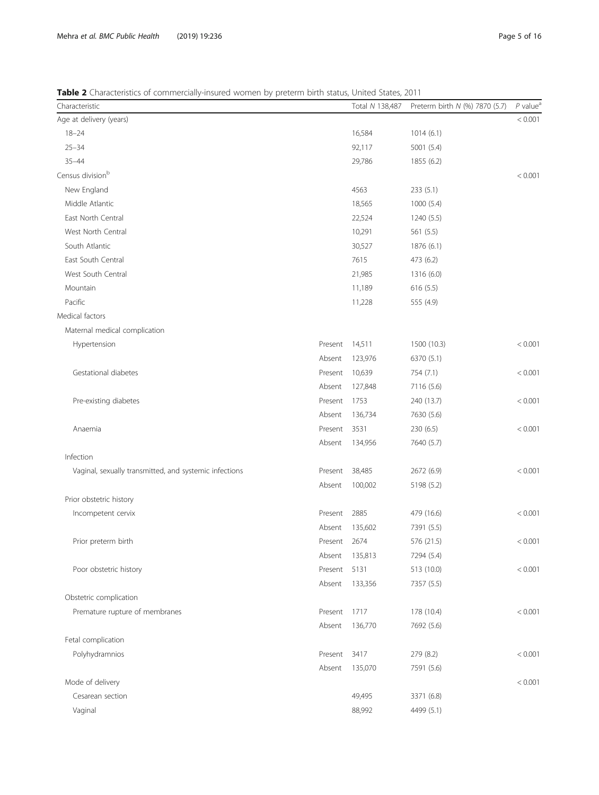# <span id="page-4-0"></span>Table 2 Characteristics of commercially-insured women by preterm birth status, United States, 2011

| < 0.001<br>Age at delivery (years)<br>$18 - 24$<br>16,584<br>1014(6.1)<br>$25 - 34$<br>92,117<br>5001 (5.4)<br>$35 - 44$<br>29,786<br>1855 (6.2)<br>Census division <sup>b</sup><br>< 0.001<br>New England<br>4563<br>233(5.1)<br>Middle Atlantic<br>18,565<br>1000(5.4)<br>East North Central<br>22,524<br>1240 (5.5)<br>West North Central<br>10,291<br>561 (5.5)<br>South Atlantic<br>30,527<br>1876 (6.1)<br>East South Central<br>7615<br>473 (6.2)<br>West South Central<br>21,985<br>1316 (6.0)<br>11,189<br>616 (5.5)<br>Mountain<br>Pacific<br>11,228<br>555 (4.9)<br>Medical factors<br>Maternal medical complication<br>1500 (10.3)<br>< 0.001<br>Hypertension<br>Present<br>14,511<br>Absent<br>123,976<br>6370 (5.1)<br>Gestational diabetes<br>10,639<br>754 (7.1)<br>< 0.001<br>Present<br>Absent<br>127,848<br>7116 (5.6)<br>Pre-existing diabetes<br>Present<br>1753<br>240 (13.7)<br>< 0.001<br>Absent<br>136,734<br>7630 (5.6)<br>3531<br>230 (6.5)<br>< 0.001<br>Anaemia<br>Present<br>Absent<br>134,956<br>7640 (5.7)<br>Infection<br>Vaginal, sexually transmitted, and systemic infections<br>2672 (6.9)<br>< 0.001<br>Present<br>38,485<br>Absent<br>100,002<br>5198 (5.2)<br>Prior obstetric history<br>Present<br>2885<br>Incompetent cervix<br>479 (16.6)<br>< 0.001<br>Absent<br>135,602<br>7391 (5.5)<br>2674<br>Prior preterm birth<br>Present<br>576 (21.5)<br>< 0.001<br>7294 (5.4)<br>Absent<br>135,813<br>Poor obstetric history<br>5131<br>513 (10.0)<br>Present<br>< 0.001<br>133,356<br>Absent<br>7357 (5.5)<br>Obstetric complication<br>Premature rupture of membranes<br>1717<br>178 (10.4)<br>< 0.001<br>Present<br>Absent<br>136,770<br>7692 (5.6)<br>Fetal complication<br>Polyhydramnios<br>3417<br>Present<br>279 (8.2)<br>< 0.001<br>135,070<br>7591 (5.6)<br>Absent<br>Mode of delivery<br>< 0.001<br>Cesarean section<br>49,495<br>3371 (6.8)<br>88,992 | Characteristic | Total N 138,487 | Preterm birth N (%) 7870 (5.7) | $P$ value <sup>a</sup> |
|---------------------------------------------------------------------------------------------------------------------------------------------------------------------------------------------------------------------------------------------------------------------------------------------------------------------------------------------------------------------------------------------------------------------------------------------------------------------------------------------------------------------------------------------------------------------------------------------------------------------------------------------------------------------------------------------------------------------------------------------------------------------------------------------------------------------------------------------------------------------------------------------------------------------------------------------------------------------------------------------------------------------------------------------------------------------------------------------------------------------------------------------------------------------------------------------------------------------------------------------------------------------------------------------------------------------------------------------------------------------------------------------------------------------------------------------------------------------------------------------------------------------------------------------------------------------------------------------------------------------------------------------------------------------------------------------------------------------------------------------------------------------------------------------------------------------------------------------------------------------------------------------------------|----------------|-----------------|--------------------------------|------------------------|
|                                                                                                                                                                                                                                                                                                                                                                                                                                                                                                                                                                                                                                                                                                                                                                                                                                                                                                                                                                                                                                                                                                                                                                                                                                                                                                                                                                                                                                                                                                                                                                                                                                                                                                                                                                                                                                                                                                         |                |                 |                                |                        |
|                                                                                                                                                                                                                                                                                                                                                                                                                                                                                                                                                                                                                                                                                                                                                                                                                                                                                                                                                                                                                                                                                                                                                                                                                                                                                                                                                                                                                                                                                                                                                                                                                                                                                                                                                                                                                                                                                                         |                |                 |                                |                        |
|                                                                                                                                                                                                                                                                                                                                                                                                                                                                                                                                                                                                                                                                                                                                                                                                                                                                                                                                                                                                                                                                                                                                                                                                                                                                                                                                                                                                                                                                                                                                                                                                                                                                                                                                                                                                                                                                                                         |                |                 |                                |                        |
|                                                                                                                                                                                                                                                                                                                                                                                                                                                                                                                                                                                                                                                                                                                                                                                                                                                                                                                                                                                                                                                                                                                                                                                                                                                                                                                                                                                                                                                                                                                                                                                                                                                                                                                                                                                                                                                                                                         |                |                 |                                |                        |
|                                                                                                                                                                                                                                                                                                                                                                                                                                                                                                                                                                                                                                                                                                                                                                                                                                                                                                                                                                                                                                                                                                                                                                                                                                                                                                                                                                                                                                                                                                                                                                                                                                                                                                                                                                                                                                                                                                         |                |                 |                                |                        |
|                                                                                                                                                                                                                                                                                                                                                                                                                                                                                                                                                                                                                                                                                                                                                                                                                                                                                                                                                                                                                                                                                                                                                                                                                                                                                                                                                                                                                                                                                                                                                                                                                                                                                                                                                                                                                                                                                                         |                |                 |                                |                        |
|                                                                                                                                                                                                                                                                                                                                                                                                                                                                                                                                                                                                                                                                                                                                                                                                                                                                                                                                                                                                                                                                                                                                                                                                                                                                                                                                                                                                                                                                                                                                                                                                                                                                                                                                                                                                                                                                                                         |                |                 |                                |                        |
|                                                                                                                                                                                                                                                                                                                                                                                                                                                                                                                                                                                                                                                                                                                                                                                                                                                                                                                                                                                                                                                                                                                                                                                                                                                                                                                                                                                                                                                                                                                                                                                                                                                                                                                                                                                                                                                                                                         |                |                 |                                |                        |
|                                                                                                                                                                                                                                                                                                                                                                                                                                                                                                                                                                                                                                                                                                                                                                                                                                                                                                                                                                                                                                                                                                                                                                                                                                                                                                                                                                                                                                                                                                                                                                                                                                                                                                                                                                                                                                                                                                         |                |                 |                                |                        |
|                                                                                                                                                                                                                                                                                                                                                                                                                                                                                                                                                                                                                                                                                                                                                                                                                                                                                                                                                                                                                                                                                                                                                                                                                                                                                                                                                                                                                                                                                                                                                                                                                                                                                                                                                                                                                                                                                                         |                |                 |                                |                        |
|                                                                                                                                                                                                                                                                                                                                                                                                                                                                                                                                                                                                                                                                                                                                                                                                                                                                                                                                                                                                                                                                                                                                                                                                                                                                                                                                                                                                                                                                                                                                                                                                                                                                                                                                                                                                                                                                                                         |                |                 |                                |                        |
|                                                                                                                                                                                                                                                                                                                                                                                                                                                                                                                                                                                                                                                                                                                                                                                                                                                                                                                                                                                                                                                                                                                                                                                                                                                                                                                                                                                                                                                                                                                                                                                                                                                                                                                                                                                                                                                                                                         |                |                 |                                |                        |
|                                                                                                                                                                                                                                                                                                                                                                                                                                                                                                                                                                                                                                                                                                                                                                                                                                                                                                                                                                                                                                                                                                                                                                                                                                                                                                                                                                                                                                                                                                                                                                                                                                                                                                                                                                                                                                                                                                         |                |                 |                                |                        |
|                                                                                                                                                                                                                                                                                                                                                                                                                                                                                                                                                                                                                                                                                                                                                                                                                                                                                                                                                                                                                                                                                                                                                                                                                                                                                                                                                                                                                                                                                                                                                                                                                                                                                                                                                                                                                                                                                                         |                |                 |                                |                        |
|                                                                                                                                                                                                                                                                                                                                                                                                                                                                                                                                                                                                                                                                                                                                                                                                                                                                                                                                                                                                                                                                                                                                                                                                                                                                                                                                                                                                                                                                                                                                                                                                                                                                                                                                                                                                                                                                                                         |                |                 |                                |                        |
|                                                                                                                                                                                                                                                                                                                                                                                                                                                                                                                                                                                                                                                                                                                                                                                                                                                                                                                                                                                                                                                                                                                                                                                                                                                                                                                                                                                                                                                                                                                                                                                                                                                                                                                                                                                                                                                                                                         |                |                 |                                |                        |
|                                                                                                                                                                                                                                                                                                                                                                                                                                                                                                                                                                                                                                                                                                                                                                                                                                                                                                                                                                                                                                                                                                                                                                                                                                                                                                                                                                                                                                                                                                                                                                                                                                                                                                                                                                                                                                                                                                         |                |                 |                                |                        |
|                                                                                                                                                                                                                                                                                                                                                                                                                                                                                                                                                                                                                                                                                                                                                                                                                                                                                                                                                                                                                                                                                                                                                                                                                                                                                                                                                                                                                                                                                                                                                                                                                                                                                                                                                                                                                                                                                                         |                |                 |                                |                        |
|                                                                                                                                                                                                                                                                                                                                                                                                                                                                                                                                                                                                                                                                                                                                                                                                                                                                                                                                                                                                                                                                                                                                                                                                                                                                                                                                                                                                                                                                                                                                                                                                                                                                                                                                                                                                                                                                                                         |                |                 |                                |                        |
|                                                                                                                                                                                                                                                                                                                                                                                                                                                                                                                                                                                                                                                                                                                                                                                                                                                                                                                                                                                                                                                                                                                                                                                                                                                                                                                                                                                                                                                                                                                                                                                                                                                                                                                                                                                                                                                                                                         |                |                 |                                |                        |
|                                                                                                                                                                                                                                                                                                                                                                                                                                                                                                                                                                                                                                                                                                                                                                                                                                                                                                                                                                                                                                                                                                                                                                                                                                                                                                                                                                                                                                                                                                                                                                                                                                                                                                                                                                                                                                                                                                         |                |                 |                                |                        |
|                                                                                                                                                                                                                                                                                                                                                                                                                                                                                                                                                                                                                                                                                                                                                                                                                                                                                                                                                                                                                                                                                                                                                                                                                                                                                                                                                                                                                                                                                                                                                                                                                                                                                                                                                                                                                                                                                                         |                |                 |                                |                        |
|                                                                                                                                                                                                                                                                                                                                                                                                                                                                                                                                                                                                                                                                                                                                                                                                                                                                                                                                                                                                                                                                                                                                                                                                                                                                                                                                                                                                                                                                                                                                                                                                                                                                                                                                                                                                                                                                                                         |                |                 |                                |                        |
|                                                                                                                                                                                                                                                                                                                                                                                                                                                                                                                                                                                                                                                                                                                                                                                                                                                                                                                                                                                                                                                                                                                                                                                                                                                                                                                                                                                                                                                                                                                                                                                                                                                                                                                                                                                                                                                                                                         |                |                 |                                |                        |
|                                                                                                                                                                                                                                                                                                                                                                                                                                                                                                                                                                                                                                                                                                                                                                                                                                                                                                                                                                                                                                                                                                                                                                                                                                                                                                                                                                                                                                                                                                                                                                                                                                                                                                                                                                                                                                                                                                         |                |                 |                                |                        |
|                                                                                                                                                                                                                                                                                                                                                                                                                                                                                                                                                                                                                                                                                                                                                                                                                                                                                                                                                                                                                                                                                                                                                                                                                                                                                                                                                                                                                                                                                                                                                                                                                                                                                                                                                                                                                                                                                                         |                |                 |                                |                        |
|                                                                                                                                                                                                                                                                                                                                                                                                                                                                                                                                                                                                                                                                                                                                                                                                                                                                                                                                                                                                                                                                                                                                                                                                                                                                                                                                                                                                                                                                                                                                                                                                                                                                                                                                                                                                                                                                                                         |                |                 |                                |                        |
|                                                                                                                                                                                                                                                                                                                                                                                                                                                                                                                                                                                                                                                                                                                                                                                                                                                                                                                                                                                                                                                                                                                                                                                                                                                                                                                                                                                                                                                                                                                                                                                                                                                                                                                                                                                                                                                                                                         |                |                 |                                |                        |
|                                                                                                                                                                                                                                                                                                                                                                                                                                                                                                                                                                                                                                                                                                                                                                                                                                                                                                                                                                                                                                                                                                                                                                                                                                                                                                                                                                                                                                                                                                                                                                                                                                                                                                                                                                                                                                                                                                         |                |                 |                                |                        |
|                                                                                                                                                                                                                                                                                                                                                                                                                                                                                                                                                                                                                                                                                                                                                                                                                                                                                                                                                                                                                                                                                                                                                                                                                                                                                                                                                                                                                                                                                                                                                                                                                                                                                                                                                                                                                                                                                                         |                |                 |                                |                        |
|                                                                                                                                                                                                                                                                                                                                                                                                                                                                                                                                                                                                                                                                                                                                                                                                                                                                                                                                                                                                                                                                                                                                                                                                                                                                                                                                                                                                                                                                                                                                                                                                                                                                                                                                                                                                                                                                                                         |                |                 |                                |                        |
|                                                                                                                                                                                                                                                                                                                                                                                                                                                                                                                                                                                                                                                                                                                                                                                                                                                                                                                                                                                                                                                                                                                                                                                                                                                                                                                                                                                                                                                                                                                                                                                                                                                                                                                                                                                                                                                                                                         |                |                 |                                |                        |
|                                                                                                                                                                                                                                                                                                                                                                                                                                                                                                                                                                                                                                                                                                                                                                                                                                                                                                                                                                                                                                                                                                                                                                                                                                                                                                                                                                                                                                                                                                                                                                                                                                                                                                                                                                                                                                                                                                         |                |                 |                                |                        |
|                                                                                                                                                                                                                                                                                                                                                                                                                                                                                                                                                                                                                                                                                                                                                                                                                                                                                                                                                                                                                                                                                                                                                                                                                                                                                                                                                                                                                                                                                                                                                                                                                                                                                                                                                                                                                                                                                                         |                |                 |                                |                        |
|                                                                                                                                                                                                                                                                                                                                                                                                                                                                                                                                                                                                                                                                                                                                                                                                                                                                                                                                                                                                                                                                                                                                                                                                                                                                                                                                                                                                                                                                                                                                                                                                                                                                                                                                                                                                                                                                                                         |                |                 |                                |                        |
|                                                                                                                                                                                                                                                                                                                                                                                                                                                                                                                                                                                                                                                                                                                                                                                                                                                                                                                                                                                                                                                                                                                                                                                                                                                                                                                                                                                                                                                                                                                                                                                                                                                                                                                                                                                                                                                                                                         |                |                 |                                |                        |
|                                                                                                                                                                                                                                                                                                                                                                                                                                                                                                                                                                                                                                                                                                                                                                                                                                                                                                                                                                                                                                                                                                                                                                                                                                                                                                                                                                                                                                                                                                                                                                                                                                                                                                                                                                                                                                                                                                         |                |                 |                                |                        |
|                                                                                                                                                                                                                                                                                                                                                                                                                                                                                                                                                                                                                                                                                                                                                                                                                                                                                                                                                                                                                                                                                                                                                                                                                                                                                                                                                                                                                                                                                                                                                                                                                                                                                                                                                                                                                                                                                                         |                |                 |                                |                        |
|                                                                                                                                                                                                                                                                                                                                                                                                                                                                                                                                                                                                                                                                                                                                                                                                                                                                                                                                                                                                                                                                                                                                                                                                                                                                                                                                                                                                                                                                                                                                                                                                                                                                                                                                                                                                                                                                                                         |                |                 |                                |                        |
|                                                                                                                                                                                                                                                                                                                                                                                                                                                                                                                                                                                                                                                                                                                                                                                                                                                                                                                                                                                                                                                                                                                                                                                                                                                                                                                                                                                                                                                                                                                                                                                                                                                                                                                                                                                                                                                                                                         |                |                 |                                |                        |
|                                                                                                                                                                                                                                                                                                                                                                                                                                                                                                                                                                                                                                                                                                                                                                                                                                                                                                                                                                                                                                                                                                                                                                                                                                                                                                                                                                                                                                                                                                                                                                                                                                                                                                                                                                                                                                                                                                         |                |                 |                                |                        |
|                                                                                                                                                                                                                                                                                                                                                                                                                                                                                                                                                                                                                                                                                                                                                                                                                                                                                                                                                                                                                                                                                                                                                                                                                                                                                                                                                                                                                                                                                                                                                                                                                                                                                                                                                                                                                                                                                                         |                |                 |                                |                        |
|                                                                                                                                                                                                                                                                                                                                                                                                                                                                                                                                                                                                                                                                                                                                                                                                                                                                                                                                                                                                                                                                                                                                                                                                                                                                                                                                                                                                                                                                                                                                                                                                                                                                                                                                                                                                                                                                                                         | Vaginal        |                 | 4499 (5.1)                     |                        |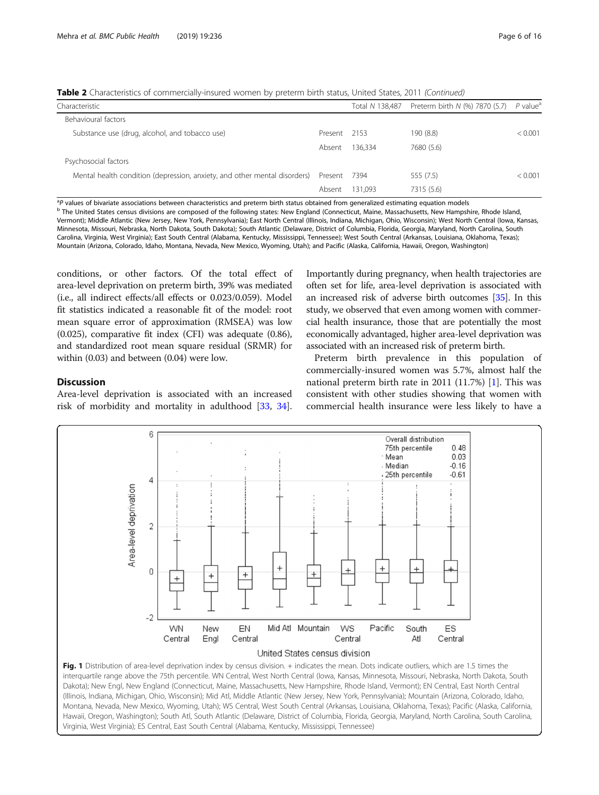<span id="page-5-0"></span>

| Table 2 Characteristics of commercially-insured women by preterm birth status, United States, 2011 (Continued) |  |  |  |
|----------------------------------------------------------------------------------------------------------------|--|--|--|

| Characteristic                                                            |              | Total N 138,487 | Preterm birth N (%) 7870 (5.7) | $P$ value <sup>a</sup> |
|---------------------------------------------------------------------------|--------------|-----------------|--------------------------------|------------------------|
| Behavioural factors                                                       |              |                 |                                |                        |
| Substance use (drug, alcohol, and tobacco use)                            | Present 2153 |                 | 190 (8.8)                      | < 0.001                |
|                                                                           | Absent       | 136.334         | 7680 (5.6)                     |                        |
| Psychosocial factors                                                      |              |                 |                                |                        |
| Mental health condition (depression, anxiety, and other mental disorders) | Present      | 7394            | 555 (7.5)                      | < 0.001                |
|                                                                           | Absent       | 131.093         | 7315 (5.6)                     |                        |
|                                                                           |              |                 |                                |                        |

<sup>a</sup>P values of bivariate associations between characteristics and preterm birth status obtained from generalized estimating equation models <sup>b</sup> The United States census divisions are composed of the following states: New England (Connecticut, Maine, Massachusetts, New Hampshire, Rhode Island, Vermont); Middle Atlantic (New Jersey, New York, Pennsylvania); East North Central (Illinois, Indiana, Michigan, Ohio, Wisconsin); West North Central (Iowa, Kansas, Minnesota, Missouri, Nebraska, North Dakota, South Dakota); South Atlantic (Delaware, District of Columbia, Florida, Georgia, Maryland, North Carolina, South Carolina, Virginia, West Virginia); East South Central (Alabama, Kentucky, Mississippi, Tennessee); West South Central (Arkansas, Louisiana, Oklahoma, Texas); Mountain (Arizona, Colorado, Idaho, Montana, Nevada, New Mexico, Wyoming, Utah); and Pacific (Alaska, California, Hawaii, Oregon, Washington)

conditions, or other factors. Of the total effect of area-level deprivation on preterm birth, 39% was mediated (i.e., all indirect effects/all effects or 0.023/0.059). Model fit statistics indicated a reasonable fit of the model: root mean square error of approximation (RMSEA) was low (0.025), comparative fit index (CFI) was adequate (0.86), and standardized root mean square residual (SRMR) for within (0.03) and between (0.04) were low.

# **Discussion**

Area-level deprivation is associated with an increased risk of morbidity and mortality in adulthood [[33](#page-14-0), [34](#page-14-0)]. Importantly during pregnancy, when health trajectories are often set for life, area-level deprivation is associated with an increased risk of adverse birth outcomes [[35](#page-14-0)]. In this study, we observed that even among women with commercial health insurance, those that are potentially the most economically advantaged, higher area-level deprivation was associated with an increased risk of preterm birth.

Preterm birth prevalence in this population of commercially-insured women was 5.7%, almost half the national preterm birth rate in 2011 (11.7%)  $\boxed{1}$ . This was consistent with other studies showing that women with commercial health insurance were less likely to have a



Montana, Nevada, New Mexico, Wyoming, Utah); WS Central, West South Central (Arkansas, Louisiana, Oklahoma, Texas); Pacific (Alaska, California, Hawaii, Oregon, Washington); South Atl, South Atlantic (Delaware, District of Columbia, Florida, Georgia, Maryland, North Carolina, South Carolina, Virginia, West Virginia); ES Central, East South Central (Alabama, Kentucky, Mississippi, Tennessee)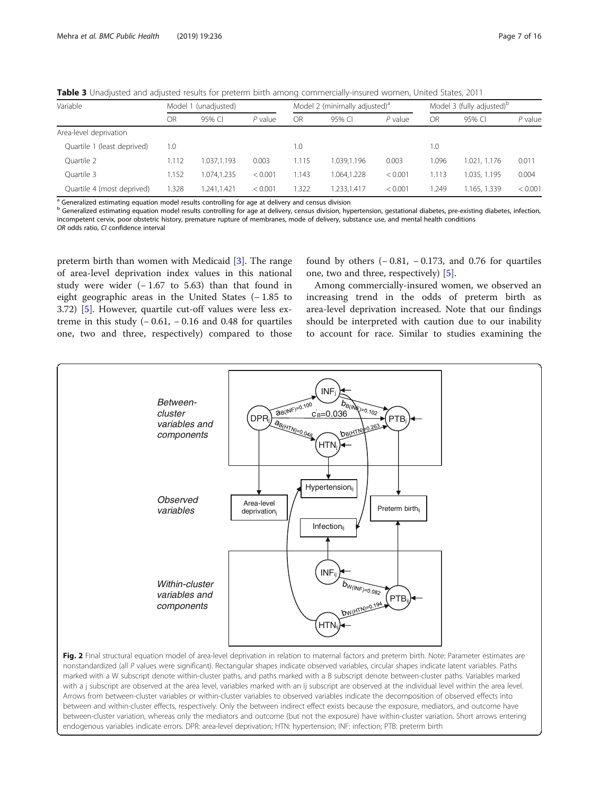<span id="page-6-0"></span>Table 3 Unadjusted and adjusted results for preterm birth among commercially-insured women, United States, 2011

| Variable                    | Model 1 (unadjusted) |             |           |       | Model 2 (minimally adjusted) <sup>a</sup> |           |       | Model 3 (fully adjusted) <sup>D</sup> |           |
|-----------------------------|----------------------|-------------|-----------|-------|-------------------------------------------|-----------|-------|---------------------------------------|-----------|
|                             | OR                   | 95% CI      | $P$ value | ОR    | 95% CI                                    | $P$ value | OR    | 95% CI                                | $P$ value |
| Area-level deprivation      |                      |             |           |       |                                           |           |       |                                       |           |
| Quartile 1 (least deprived) | .0                   |             |           | 1.0   |                                           |           | 1.0   |                                       |           |
| Ouartile 2                  | 1.112                | 1.037.1.193 | 0.003     | 1.115 | .039.1.196                                | 0.003     | 1.096 | 1.021, 1.176                          | 0.011     |
| Ouartile 3                  | 1.152                | 074.1.235   | < 0.001   | 1.143 | 064.1.228                                 | < 0.001   | 1.113 | 1.035, 1.195                          | 0.004     |
| Quartile 4 (most deprived)  | .328                 | 1.241.1.421 | < 0.001   | 1.322 | .233.1.417                                | < 0.001   | .249  | 1.165, 1.339                          | < 0.001   |

<sup>a</sup> Generalized estimating equation model results controlling for age at delivery and census division

<sup>b</sup> Generalized estimating equation model results controlling for age at delivery, census division, hypertension, gestational diabetes, pre-existing diabetes, infection, incompetent cervix, poor obstetric history, premature rupture of membranes, mode of delivery, substance use, and mental health conditions

OR odds ratio, CI confidence interval

preterm birth than women with Medicaid [\[3](#page-14-0)]. The range of area-level deprivation index values in this national study were wider  $(-1.67 \text{ to } 5.63)$  than that found in eight geographic areas in the United States (− 1.85 to 3.72) [[5\]](#page-14-0). However, quartile cut-off values were less extreme in this study  $(-0.61, -0.16$  and 0.48 for quartiles one, two and three, respectively) compared to those

found by others  $(-0.81, -0.173, )$  and 0.76 for quartiles one, two and three, respectively) [[5\]](#page-14-0).

Among commercially-insured women, we observed an increasing trend in the odds of preterm birth as area-level deprivation increased. Note that our findings should be interpreted with caution due to our inability to account for race. Similar to studies examining the



marked with a W subscript denote within-cluster paths, and paths marked with a B subscript denote between-cluster paths. Variables marked with a j subscript are observed at the area level, variables marked with an ij subscript are observed at the individual level within the area level. Arrows from between-cluster variables or within-cluster variables to observed variables indicate the decomposition of observed effects into between and within-cluster effects, respectively. Only the between indirect effect exists because the exposure, mediators, and outcome have between-cluster variation, whereas only the mediators and outcome (but not the exposure) have within-cluster variation. Short arrows entering endogenous variables indicate errors. DPR: area-level deprivation; HTN: hypertension; INF: infection; PTB: preterm birth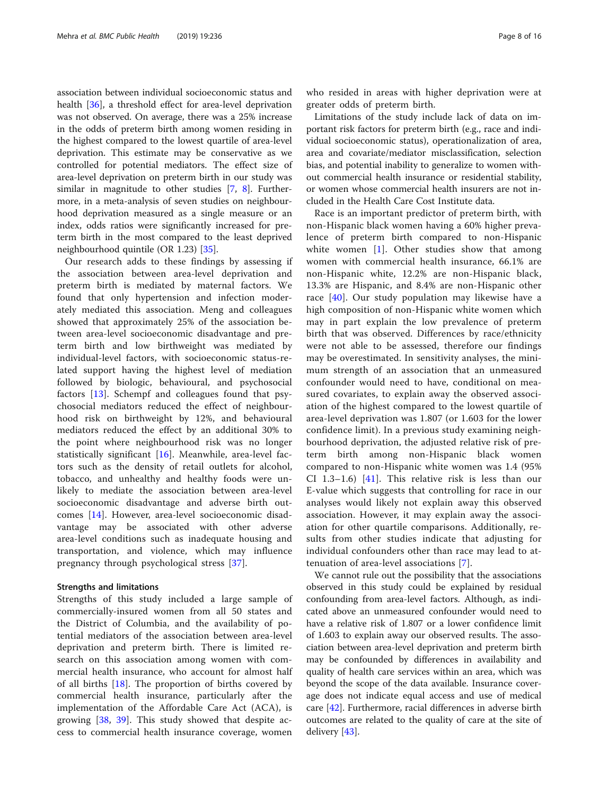association between individual socioeconomic status and health [\[36\]](#page-14-0), a threshold effect for area-level deprivation was not observed. On average, there was a 25% increase in the odds of preterm birth among women residing in the highest compared to the lowest quartile of area-level deprivation. This estimate may be conservative as we controlled for potential mediators. The effect size of area-level deprivation on preterm birth in our study was similar in magnitude to other studies [[7,](#page-14-0) [8\]](#page-14-0). Furthermore, in a meta-analysis of seven studies on neighbourhood deprivation measured as a single measure or an index, odds ratios were significantly increased for preterm birth in the most compared to the least deprived neighbourhood quintile (OR 1.23) [\[35\]](#page-14-0).

Our research adds to these findings by assessing if the association between area-level deprivation and preterm birth is mediated by maternal factors. We found that only hypertension and infection moderately mediated this association. Meng and colleagues showed that approximately 25% of the association between area-level socioeconomic disadvantage and preterm birth and low birthweight was mediated by individual-level factors, with socioeconomic status-related support having the highest level of mediation followed by biologic, behavioural, and psychosocial factors [[13](#page-14-0)]. Schempf and colleagues found that psychosocial mediators reduced the effect of neighbourhood risk on birthweight by 12%, and behavioural mediators reduced the effect by an additional 30% to the point where neighbourhood risk was no longer statistically significant [[16\]](#page-14-0). Meanwhile, area-level factors such as the density of retail outlets for alcohol, tobacco, and unhealthy and healthy foods were unlikely to mediate the association between area-level socioeconomic disadvantage and adverse birth outcomes [[14\]](#page-14-0). However, area-level socioeconomic disadvantage may be associated with other adverse area-level conditions such as inadequate housing and transportation, and violence, which may influence pregnancy through psychological stress [[37\]](#page-14-0).

### Strengths and limitations

Strengths of this study included a large sample of commercially-insured women from all 50 states and the District of Columbia, and the availability of potential mediators of the association between area-level deprivation and preterm birth. There is limited research on this association among women with commercial health insurance, who account for almost half of all births [\[18](#page-14-0)]. The proportion of births covered by commercial health insurance, particularly after the implementation of the Affordable Care Act (ACA), is growing [\[38](#page-14-0), [39\]](#page-14-0). This study showed that despite access to commercial health insurance coverage, women who resided in areas with higher deprivation were at greater odds of preterm birth.

Limitations of the study include lack of data on important risk factors for preterm birth (e.g., race and individual socioeconomic status), operationalization of area, area and covariate/mediator misclassification, selection bias, and potential inability to generalize to women without commercial health insurance or residential stability, or women whose commercial health insurers are not included in the Health Care Cost Institute data.

Race is an important predictor of preterm birth, with non-Hispanic black women having a 60% higher prevalence of preterm birth compared to non-Hispanic white women  $[1]$  $[1]$ . Other studies show that among women with commercial health insurance, 66.1% are non-Hispanic white, 12.2% are non-Hispanic black, 13.3% are Hispanic, and 8.4% are non-Hispanic other race [\[40](#page-14-0)]. Our study population may likewise have a high composition of non-Hispanic white women which may in part explain the low prevalence of preterm birth that was observed. Differences by race/ethnicity were not able to be assessed, therefore our findings may be overestimated. In sensitivity analyses, the minimum strength of an association that an unmeasured confounder would need to have, conditional on measured covariates, to explain away the observed association of the highest compared to the lowest quartile of area-level deprivation was 1.807 (or 1.603 for the lower confidence limit). In a previous study examining neighbourhood deprivation, the adjusted relative risk of preterm birth among non-Hispanic black women compared to non-Hispanic white women was 1.4 (95% CI 1.3–1.6) [[41\]](#page-14-0). This relative risk is less than our E-value which suggests that controlling for race in our analyses would likely not explain away this observed association. However, it may explain away the association for other quartile comparisons. Additionally, results from other studies indicate that adjusting for individual confounders other than race may lead to attenuation of area-level associations [\[7](#page-14-0)].

We cannot rule out the possibility that the associations observed in this study could be explained by residual confounding from area-level factors. Although, as indicated above an unmeasured confounder would need to have a relative risk of 1.807 or a lower confidence limit of 1.603 to explain away our observed results. The association between area-level deprivation and preterm birth may be confounded by differences in availability and quality of health care services within an area, which was beyond the scope of the data available. Insurance coverage does not indicate equal access and use of medical care [[42](#page-14-0)]. Furthermore, racial differences in adverse birth outcomes are related to the quality of care at the site of delivery [[43](#page-14-0)].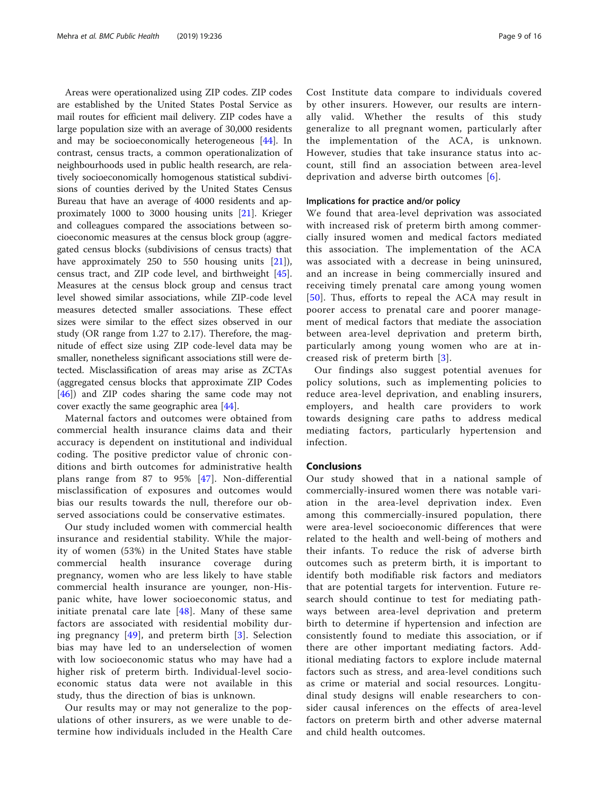Areas were operationalized using ZIP codes. ZIP codes are established by the United States Postal Service as mail routes for efficient mail delivery. ZIP codes have a large population size with an average of 30,000 residents and may be socioeconomically heterogeneous [\[44](#page-14-0)]. In contrast, census tracts, a common operationalization of neighbourhoods used in public health research, are relatively socioeconomically homogenous statistical subdivisions of counties derived by the United States Census Bureau that have an average of 4000 residents and approximately 1000 to 3000 housing units [\[21\]](#page-14-0). Krieger and colleagues compared the associations between socioeconomic measures at the census block group (aggregated census blocks (subdivisions of census tracts) that have approximately 250 to 550 housing units [\[21](#page-14-0)]), census tract, and ZIP code level, and birthweight [\[45](#page-14-0)]. Measures at the census block group and census tract level showed similar associations, while ZIP-code level measures detected smaller associations. These effect sizes were similar to the effect sizes observed in our study (OR range from 1.27 to 2.17). Therefore, the magnitude of effect size using ZIP code-level data may be smaller, nonetheless significant associations still were detected. Misclassification of areas may arise as ZCTAs (aggregated census blocks that approximate ZIP Codes [[46\]](#page-15-0)) and ZIP codes sharing the same code may not cover exactly the same geographic area [[44\]](#page-14-0).

Maternal factors and outcomes were obtained from commercial health insurance claims data and their accuracy is dependent on institutional and individual coding. The positive predictor value of chronic conditions and birth outcomes for administrative health plans range from 87 to 95% [[47](#page-15-0)]. Non-differential misclassification of exposures and outcomes would bias our results towards the null, therefore our observed associations could be conservative estimates.

Our study included women with commercial health insurance and residential stability. While the majority of women (53%) in the United States have stable commercial health insurance coverage during pregnancy, women who are less likely to have stable commercial health insurance are younger, non-Hispanic white, have lower socioeconomic status, and initiate prenatal care late  $[48]$  $[48]$  $[48]$ . Many of these same factors are associated with residential mobility during pregnancy [[49](#page-15-0)], and preterm birth [[3](#page-14-0)]. Selection bias may have led to an underselection of women with low socioeconomic status who may have had a higher risk of preterm birth. Individual-level socioeconomic status data were not available in this study, thus the direction of bias is unknown.

Our results may or may not generalize to the populations of other insurers, as we were unable to determine how individuals included in the Health Care

Cost Institute data compare to individuals covered by other insurers. However, our results are internally valid. Whether the results of this study generalize to all pregnant women, particularly after the implementation of the ACA, is unknown. However, studies that take insurance status into account, still find an association between area-level deprivation and adverse birth outcomes [[6](#page-14-0)].

# Implications for practice and/or policy

We found that area-level deprivation was associated with increased risk of preterm birth among commercially insured women and medical factors mediated this association. The implementation of the ACA was associated with a decrease in being uninsured, and an increase in being commercially insured and receiving timely prenatal care among young women [[50](#page-15-0)]. Thus, efforts to repeal the ACA may result in poorer access to prenatal care and poorer management of medical factors that mediate the association between area-level deprivation and preterm birth, particularly among young women who are at increased risk of preterm birth [[3\]](#page-14-0).

Our findings also suggest potential avenues for policy solutions, such as implementing policies to reduce area-level deprivation, and enabling insurers, employers, and health care providers to work towards designing care paths to address medical mediating factors, particularly hypertension and infection.

# Conclusions

Our study showed that in a national sample of commercially-insured women there was notable variation in the area-level deprivation index. Even among this commercially-insured population, there were area-level socioeconomic differences that were related to the health and well-being of mothers and their infants. To reduce the risk of adverse birth outcomes such as preterm birth, it is important to identify both modifiable risk factors and mediators that are potential targets for intervention. Future research should continue to test for mediating pathways between area-level deprivation and preterm birth to determine if hypertension and infection are consistently found to mediate this association, or if there are other important mediating factors. Additional mediating factors to explore include maternal factors such as stress, and area-level conditions such as crime or material and social resources. Longitudinal study designs will enable researchers to consider causal inferences on the effects of area-level factors on preterm birth and other adverse maternal and child health outcomes.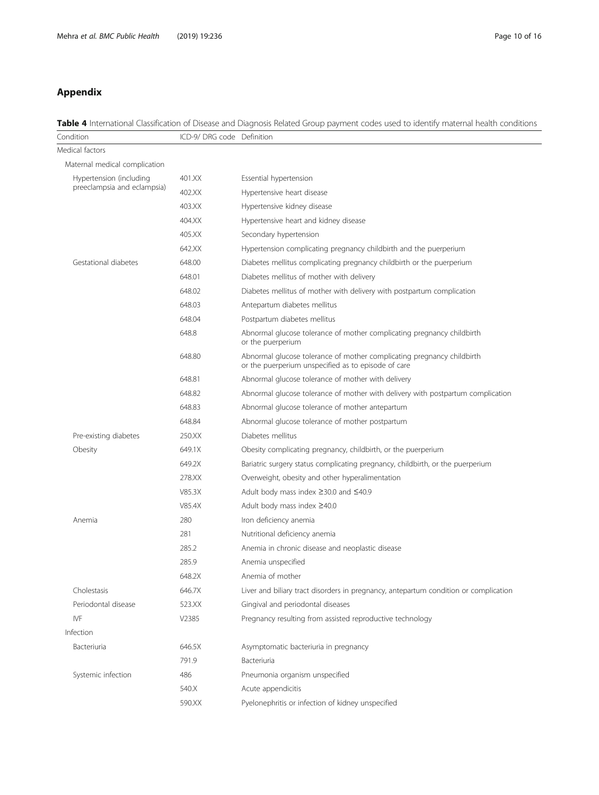# <span id="page-9-0"></span>Appendix

Table 4 International Classification of Disease and Diagnosis Related Group payment codes used to identify maternal health conditions

| Condition                     | ICD-9/DRG code Definition |                                                                                                                               |
|-------------------------------|---------------------------|-------------------------------------------------------------------------------------------------------------------------------|
| Medical factors               |                           |                                                                                                                               |
| Maternal medical complication |                           |                                                                                                                               |
| Hypertension (including       | 401.XX                    | Essential hypertension                                                                                                        |
| preeclampsia and eclampsia)   | 402.XX                    | Hypertensive heart disease                                                                                                    |
|                               | 403.XX                    | Hypertensive kidney disease                                                                                                   |
|                               | 404.XX                    | Hypertensive heart and kidney disease                                                                                         |
|                               | 405.XX                    | Secondary hypertension                                                                                                        |
|                               | 642.XX                    | Hypertension complicating pregnancy childbirth and the puerperium                                                             |
| Gestational diabetes          | 648.00                    | Diabetes mellitus complicating pregnancy childbirth or the puerperium                                                         |
|                               | 648.01                    | Diabetes mellitus of mother with delivery                                                                                     |
|                               | 648.02                    | Diabetes mellitus of mother with delivery with postpartum complication                                                        |
|                               | 648.03                    | Antepartum diabetes mellitus                                                                                                  |
|                               | 648.04                    | Postpartum diabetes mellitus                                                                                                  |
|                               | 648.8                     | Abnormal glucose tolerance of mother complicating pregnancy childbirth<br>or the puerperium                                   |
|                               | 648.80                    | Abnormal glucose tolerance of mother complicating pregnancy childbirth<br>or the puerperium unspecified as to episode of care |
|                               | 648.81                    | Abnormal glucose tolerance of mother with delivery                                                                            |
|                               | 648.82                    | Abnormal glucose tolerance of mother with delivery with postpartum complication                                               |
|                               | 648.83                    | Abnormal glucose tolerance of mother antepartum                                                                               |
|                               | 648.84                    | Abnormal glucose tolerance of mother postpartum                                                                               |
| Pre-existing diabetes         | 250.XX                    | Diabetes mellitus                                                                                                             |
| Obesity                       | 649.1X                    | Obesity complicating pregnancy, childbirth, or the puerperium                                                                 |
|                               | 649.2X                    | Bariatric surgery status complicating pregnancy, childbirth, or the puerperium                                                |
|                               | 278.XX                    | Overweight, obesity and other hyperalimentation                                                                               |
|                               | V85.3X                    | Adult body mass index ≥30.0 and ≤40.9                                                                                         |
|                               | V85.4X                    | Adult body mass index $\geq 40.0$                                                                                             |
| Anemia                        | 280                       | Iron deficiency anemia                                                                                                        |
|                               | 281                       | Nutritional deficiency anemia                                                                                                 |
|                               | 285.2                     | Anemia in chronic disease and neoplastic disease                                                                              |
|                               | 285.9                     | Anemia unspecified                                                                                                            |
|                               | 648.2X                    | Anemia of mother                                                                                                              |
| Cholestasis                   | 646.7X                    | Liver and biliary tract disorders in pregnancy, antepartum condition or complication                                          |
| Periodontal disease           | 523.XX                    | Gingival and periodontal diseases                                                                                             |
| <b>IVF</b>                    | V2385                     | Pregnancy resulting from assisted reproductive technology                                                                     |
| Infection                     |                           |                                                                                                                               |
| Bacteriuria                   | 646.5X                    | Asymptomatic bacteriuria in pregnancy                                                                                         |
|                               | 791.9                     | Bacteriuria                                                                                                                   |
| Systemic infection            | 486                       | Pneumonia organism unspecified                                                                                                |
|                               | 540.X                     | Acute appendicitis                                                                                                            |
|                               | 590.XX                    | Pyelonephritis or infection of kidney unspecified                                                                             |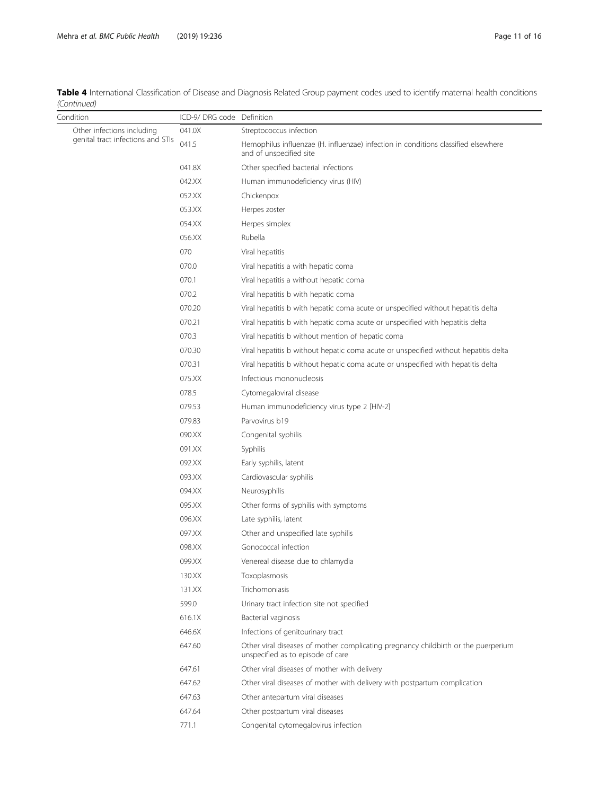| Table 4 International Classification of Disease and Diagnosis Related Group payment codes used to identify maternal health conditions |  |  |  |  |
|---------------------------------------------------------------------------------------------------------------------------------------|--|--|--|--|
| (Continued)                                                                                                                           |  |  |  |  |

| Condition                         | ICD-9/DRG code Definition |                                                                                                                         |
|-----------------------------------|---------------------------|-------------------------------------------------------------------------------------------------------------------------|
| Other infections including        | 041.0X                    | Streptococcus infection                                                                                                 |
| genital tract infections and STIs | 041.5                     | Hemophilus influenzae (H. influenzae) infection in conditions classified elsewhere<br>and of unspecified site           |
|                                   | 041.8X                    | Other specified bacterial infections                                                                                    |
|                                   | 042.XX                    | Human immunodeficiency virus (HIV)                                                                                      |
|                                   | 052.XX                    | Chickenpox                                                                                                              |
|                                   | 053.XX                    | Herpes zoster                                                                                                           |
|                                   | 054.XX                    | Herpes simplex                                                                                                          |
|                                   | 056.XX                    | Rubella                                                                                                                 |
|                                   | 070                       | Viral hepatitis                                                                                                         |
|                                   | 070.0                     | Viral hepatitis a with hepatic coma                                                                                     |
|                                   | 070.1                     | Viral hepatitis a without hepatic coma                                                                                  |
|                                   | 070.2                     | Viral hepatitis b with hepatic coma                                                                                     |
|                                   | 070.20                    | Viral hepatitis b with hepatic coma acute or unspecified without hepatitis delta                                        |
|                                   | 070.21                    | Viral hepatitis b with hepatic coma acute or unspecified with hepatitis delta                                           |
|                                   | 070.3                     | Viral hepatitis b without mention of hepatic coma                                                                       |
|                                   | 070.30                    | Viral hepatitis b without hepatic coma acute or unspecified without hepatitis delta                                     |
|                                   | 070.31                    | Viral hepatitis b without hepatic coma acute or unspecified with hepatitis delta                                        |
|                                   | 075.XX                    | Infectious mononucleosis                                                                                                |
|                                   | 078.5                     | Cytomegaloviral disease                                                                                                 |
|                                   | 079.53                    | Human immunodeficiency virus type 2 [HIV-2]                                                                             |
|                                   | 079.83                    | Parvovirus b19                                                                                                          |
|                                   | 090.XX                    | Congenital syphilis                                                                                                     |
|                                   | 091.XX                    | Syphilis                                                                                                                |
|                                   | 092.XX                    | Early syphilis, latent                                                                                                  |
|                                   | 093.XX                    | Cardiovascular syphilis                                                                                                 |
|                                   | 094.XX                    | Neurosyphilis                                                                                                           |
|                                   | 095.XX                    | Other forms of syphilis with symptoms                                                                                   |
|                                   | 096.XX                    | Late syphilis, latent                                                                                                   |
|                                   | 097.XX                    | Other and unspecified late syphilis                                                                                     |
|                                   | 098.XX                    | Gonococcal infection                                                                                                    |
|                                   | 099.XX                    | Venereal disease due to chlamydia                                                                                       |
|                                   | 130.XX                    | Toxoplasmosis                                                                                                           |
|                                   | 131.XX                    | Trichomoniasis                                                                                                          |
|                                   | 599.0                     | Urinary tract infection site not specified                                                                              |
|                                   | 616.1X                    | Bacterial vaginosis                                                                                                     |
|                                   | 646.6X                    | Infections of genitourinary tract                                                                                       |
|                                   | 647.60                    | Other viral diseases of mother complicating pregnancy childbirth or the puerperium<br>unspecified as to episode of care |
|                                   | 647.61                    | Other viral diseases of mother with delivery                                                                            |
|                                   | 647.62                    | Other viral diseases of mother with delivery with postpartum complication                                               |
|                                   | 647.63                    | Other antepartum viral diseases                                                                                         |
|                                   | 647.64                    | Other postpartum viral diseases                                                                                         |
|                                   | 771.1                     | Congenital cytomegalovirus infection                                                                                    |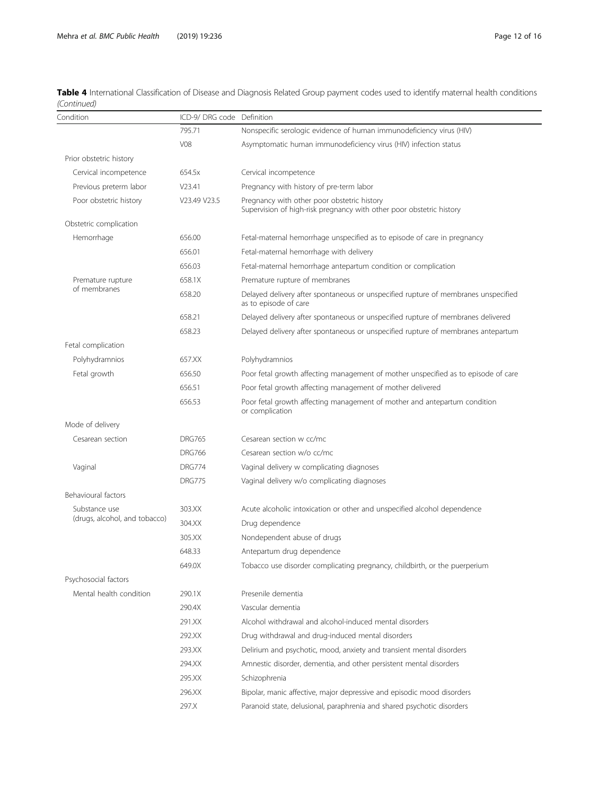|             | Table 4 International Classification of Disease and Diagnosis Related Group payment codes used to identify maternal health conditions |  |  |
|-------------|---------------------------------------------------------------------------------------------------------------------------------------|--|--|
| (Continued) |                                                                                                                                       |  |  |

| Condition                     | ICD-9/DRG code Definition |                                                                                                                     |
|-------------------------------|---------------------------|---------------------------------------------------------------------------------------------------------------------|
|                               | 795.71                    | Nonspecific serologic evidence of human immunodeficiency virus (HIV)                                                |
|                               | <b>V08</b>                | Asymptomatic human immunodeficiency virus (HIV) infection status                                                    |
| Prior obstetric history       |                           |                                                                                                                     |
| Cervical incompetence         | 654.5x                    | Cervical incompetence                                                                                               |
| Previous preterm labor        | V23.41                    | Pregnancy with history of pre-term labor                                                                            |
| Poor obstetric history        | V23.49 V23.5              | Pregnancy with other poor obstetric history<br>Supervision of high-risk pregnancy with other poor obstetric history |
| Obstetric complication        |                           |                                                                                                                     |
| Hemorrhage                    | 656.00                    | Fetal-maternal hemorrhage unspecified as to episode of care in pregnancy                                            |
|                               | 656.01                    | Fetal-maternal hemorrhage with delivery                                                                             |
|                               | 656.03                    | Fetal-maternal hemorrhage antepartum condition or complication                                                      |
| Premature rupture             | 658.1X                    | Premature rupture of membranes                                                                                      |
| of membranes                  | 658.20                    | Delayed delivery after spontaneous or unspecified rupture of membranes unspecified<br>as to episode of care         |
|                               | 658.21                    | Delayed delivery after spontaneous or unspecified rupture of membranes delivered                                    |
|                               | 658.23                    | Delayed delivery after spontaneous or unspecified rupture of membranes antepartum                                   |
| Fetal complication            |                           |                                                                                                                     |
| Polyhydramnios                | 657.XX                    | Polyhydramnios                                                                                                      |
| Fetal growth                  | 656.50                    | Poor fetal growth affecting management of mother unspecified as to episode of care                                  |
|                               | 656.51                    | Poor fetal growth affecting management of mother delivered                                                          |
|                               | 656.53                    | Poor fetal growth affecting management of mother and antepartum condition<br>or complication                        |
| Mode of delivery              |                           |                                                                                                                     |
| Cesarean section              | <b>DRG765</b>             | Cesarean section w cc/mc                                                                                            |
|                               | <b>DRG766</b>             | Cesarean section w/o cc/mc                                                                                          |
| Vaginal                       | <b>DRG774</b>             | Vaginal delivery w complicating diagnoses                                                                           |
|                               | <b>DRG775</b>             | Vaginal delivery w/o complicating diagnoses                                                                         |
| Behavioural factors           |                           |                                                                                                                     |
| Substance use                 | 303.XX                    | Acute alcoholic intoxication or other and unspecified alcohol dependence                                            |
| (drugs, alcohol, and tobacco) | 304.XX                    | Drug dependence                                                                                                     |
|                               | 305.XX                    | Nondependent abuse of drugs                                                                                         |
|                               | 648.33                    | Antepartum drug dependence                                                                                          |
|                               | 649.0X                    | Tobacco use disorder complicating pregnancy, childbirth, or the puerperium                                          |
| Psychosocial factors          |                           |                                                                                                                     |
| Mental health condition       | 290.1X                    | Presenile dementia                                                                                                  |
|                               | 290.4X                    | Vascular dementia                                                                                                   |
|                               | 291.XX                    | Alcohol withdrawal and alcohol-induced mental disorders                                                             |
|                               | 292.XX                    | Drug withdrawal and drug-induced mental disorders                                                                   |
|                               | 293.XX                    | Delirium and psychotic, mood, anxiety and transient mental disorders                                                |
|                               | 294.XX                    | Amnestic disorder, dementia, and other persistent mental disorders                                                  |
|                               | 295.XX                    | Schizophrenia                                                                                                       |
|                               | 296.XX                    | Bipolar, manic affective, major depressive and episodic mood disorders                                              |
|                               | 297.X                     | Paranoid state, delusional, paraphrenia and shared psychotic disorders                                              |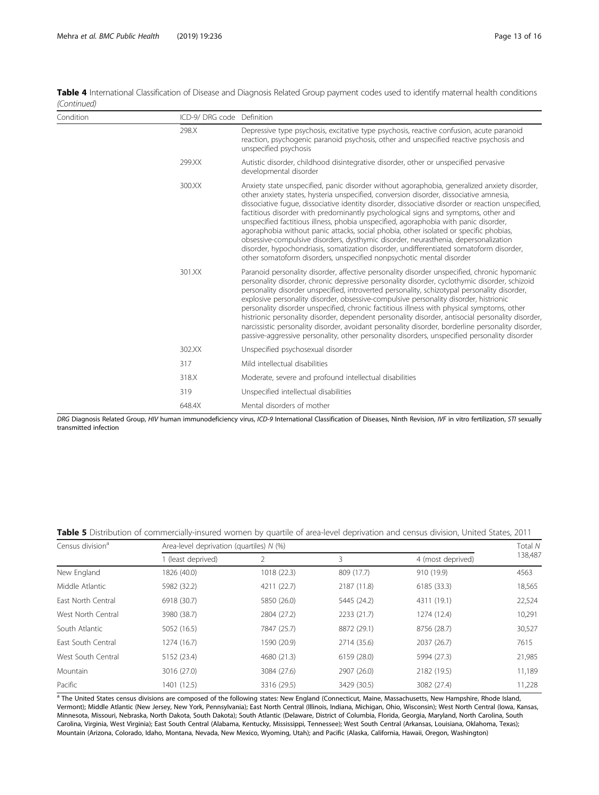| Condition | ICD-9/DRG code Definition |                                                                                                                                                                                                                                                                                                                                                                                                                                                                                                                                                                                                                                                                                                                                                                                                                               |
|-----------|---------------------------|-------------------------------------------------------------------------------------------------------------------------------------------------------------------------------------------------------------------------------------------------------------------------------------------------------------------------------------------------------------------------------------------------------------------------------------------------------------------------------------------------------------------------------------------------------------------------------------------------------------------------------------------------------------------------------------------------------------------------------------------------------------------------------------------------------------------------------|
|           | 298.X                     | Depressive type psychosis, excitative type psychosis, reactive confusion, acute paranoid<br>reaction, psychogenic paranoid psychosis, other and unspecified reactive psychosis and<br>unspecified psychosis                                                                                                                                                                                                                                                                                                                                                                                                                                                                                                                                                                                                                   |
|           | 299.XX                    | Autistic disorder, childhood disintegrative disorder, other or unspecified pervasive<br>developmental disorder                                                                                                                                                                                                                                                                                                                                                                                                                                                                                                                                                                                                                                                                                                                |
|           | 300.XX                    | Anxiety state unspecified, panic disorder without agoraphobia, generalized anxiety disorder,<br>other anxiety states, hysteria unspecified, conversion disorder, dissociative amnesia,<br>dissociative fugue, dissociative identity disorder, dissociative disorder or reaction unspecified,<br>factitious disorder with predominantly psychological signs and symptoms, other and<br>unspecified factitious illness, phobia unspecified, agoraphobia with panic disorder,<br>agoraphobia without panic attacks, social phobia, other isolated or specific phobias,<br>obsessive-compulsive disorders, dysthymic disorder, neurasthenia, depersonalization<br>disorder, hypochondriasis, somatization disorder, undifferentiated somatoform disorder,<br>other somatoform disorders, unspecified nonpsychotic mental disorder |
|           | 301.XX                    | Paranoid personality disorder, affective personality disorder unspecified, chronic hypomanic<br>personality disorder, chronic depressive personality disorder, cyclothymic disorder, schizoid<br>personality disorder unspecified, introverted personality, schizotypal personality disorder,<br>explosive personality disorder, obsessive-compulsive personality disorder, histrionic<br>personality disorder unspecified, chronic factitious illness with physical symptoms, other<br>histrionic personality disorder, dependent personality disorder, antisocial personality disorder,<br>narcissistic personality disorder, avoidant personality disorder, borderline personality disorder,<br>passive-aggressive personality, other personality disorders, unspecified personality disorder                              |
|           | 302.XX                    | Unspecified psychosexual disorder                                                                                                                                                                                                                                                                                                                                                                                                                                                                                                                                                                                                                                                                                                                                                                                             |
|           | 317                       | Mild intellectual disabilities                                                                                                                                                                                                                                                                                                                                                                                                                                                                                                                                                                                                                                                                                                                                                                                                |
|           | 318.X                     | Moderate, severe and profound intellectual disabilities                                                                                                                                                                                                                                                                                                                                                                                                                                                                                                                                                                                                                                                                                                                                                                       |
|           | 319                       | Unspecified intellectual disabilities                                                                                                                                                                                                                                                                                                                                                                                                                                                                                                                                                                                                                                                                                                                                                                                         |
|           | 648.4X                    | Mental disorders of mother                                                                                                                                                                                                                                                                                                                                                                                                                                                                                                                                                                                                                                                                                                                                                                                                    |

Table 4 International Classification of Disease and Diagnosis Related Group payment codes used to identify maternal health conditions (Continued)

DRG Diagnosis Related Group, HIV human immunodeficiency virus, ICD-9 International Classification of Diseases, Ninth Revision, IVF in vitro fertilization, STI sexually transmitted infection

Table 5 Distribution of commercially-insured women by quartile of area-level deprivation and census division, United States, 2011

| Census division <sup>a</sup> |                    | Area-level deprivation (quartiles) N (%) |             |                   |         |  |  |
|------------------------------|--------------------|------------------------------------------|-------------|-------------------|---------|--|--|
|                              | 1 (least deprived) |                                          | 3           | 4 (most deprived) | 138,487 |  |  |
| New England                  | 1826 (40.0)        | 1018 (22.3)                              | 809 (17.7)  | 910 (19.9)        | 4563    |  |  |
| Middle Atlantic              | 5982 (32.2)        | 4211 (22.7)                              | 2187 (11.8) | 6185 (33.3)       | 18,565  |  |  |
| <b>Fast North Central</b>    | 6918 (30.7)        | 5850 (26.0)                              | 5445 (24.2) | 4311 (19.1)       | 22,524  |  |  |
| West North Central           | 3980 (38.7)        | 2804 (27.2)                              | 2233 (21.7) | 1274 (12.4)       | 10,291  |  |  |
| South Atlantic               | 5052 (16.5)        | 7847 (25.7)                              | 8872 (29.1) | 8756 (28.7)       | 30,527  |  |  |
| <b>Fast South Central</b>    | 1274 (16.7)        | 1590 (20.9)                              | 2714 (35.6) | 2037 (26.7)       | 7615    |  |  |
| West South Central           | 5152 (23.4)        | 4680 (21.3)                              | 6159 (28.0) | 5994 (27.3)       | 21,985  |  |  |
| Mountain                     | 3016 (27.0)        | 3084 (27.6)                              | 2907 (26.0) | 2182 (19.5)       | 11,189  |  |  |
| Pacific                      | 1401 (12.5)        | 3316 (29.5)                              | 3429 (30.5) | 3082 (27.4)       | 11,228  |  |  |

a The United States census divisions are composed of the following states: New England (Connecticut, Maine, Massachusetts, New Hampshire, Rhode Island, Vermont); Middle Atlantic (New Jersey, New York, Pennsylvania); East North Central (Illinois, Indiana, Michigan, Ohio, Wisconsin); West North Central (Iowa, Kansas, Minnesota, Missouri, Nebraska, North Dakota, South Dakota); South Atlantic (Delaware, District of Columbia, Florida, Georgia, Maryland, North Carolina, South Carolina, Virginia, West Virginia); East South Central (Alabama, Kentucky, Mississippi, Tennessee); West South Central (Arkansas, Louisiana, Oklahoma, Texas); Mountain (Arizona, Colorado, Idaho, Montana, Nevada, New Mexico, Wyoming, Utah); and Pacific (Alaska, California, Hawaii, Oregon, Washington)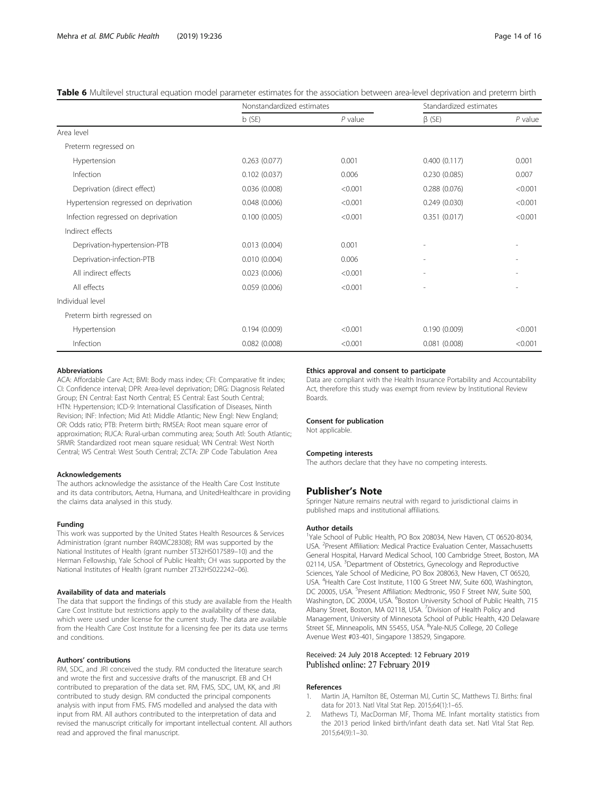# <span id="page-13-0"></span>Table 6 Multilevel structural equation model parameter estimates for the association between area-level deprivation and preterm birth

|                                       | Nonstandardized estimates |           | Standardized estimates |           |
|---------------------------------------|---------------------------|-----------|------------------------|-----------|
|                                       | b(SE)                     | $P$ value | $\beta$ (SE)           | $P$ value |
| Area level                            |                           |           |                        |           |
| Preterm regressed on                  |                           |           |                        |           |
| Hypertension                          | 0.263(0.077)              | 0.001     | 0.400(0.117)           | 0.001     |
| Infection                             | 0.102(0.037)              | 0.006     | 0.230(0.085)           | 0.007     |
| Deprivation (direct effect)           | 0.036(0.008)              | < 0.001   | 0.288(0.076)           | < 0.001   |
| Hypertension regressed on deprivation | 0.048(0.006)              | < 0.001   | 0.249(0.030)           | < 0.001   |
| Infection regressed on deprivation    | 0.100(0.005)              | < 0.001   | 0.351(0.017)           | < 0.001   |
| Indirect effects                      |                           |           |                        |           |
| Deprivation-hypertension-PTB          | 0.013(0.004)              | 0.001     |                        |           |
| Deprivation-infection-PTB             | 0.010(0.004)              | 0.006     |                        |           |
| All indirect effects                  | 0.023(0.006)              | < 0.001   |                        |           |
| All effects                           | 0.059(0.006)              | < 0.001   |                        |           |
| Individual level                      |                           |           |                        |           |
| Preterm birth regressed on            |                           |           |                        |           |
| Hypertension                          | 0.194(0.009)              | < 0.001   | 0.190(0.009)           | < 0.001   |
| Infection                             | 0.082(0.008)              | < 0.001   | 0.081(0.008)           | < 0.001   |

#### Abbreviations

ACA: Affordable Care Act; BMI: Body mass index; CFI: Comparative fit index; CI: Confidence interval; DPR: Area-level deprivation; DRG: Diagnosis Related Group; EN Central: East North Central; ES Central: East South Central; HTN: Hypertension; ICD-9: International Classification of Diseases, Ninth Revision; INF: Infection; Mid Atl: Middle Atlantic; New Engl: New England; OR: Odds ratio; PTB: Preterm birth; RMSEA: Root mean square error of approximation; RUCA: Rural-urban commuting area; South Atl: South Atlantic; SRMR: Standardized root mean square residual; WN Central: West North Central; WS Central: West South Central; ZCTA: ZIP Code Tabulation Area

#### Acknowledgements

The authors acknowledge the assistance of the Health Care Cost Institute and its data contributors, Aetna, Humana, and UnitedHealthcare in providing the claims data analysed in this study.

#### Funding

This work was supported by the United States Health Resources & Services Administration (grant number R40MC28308); RM was supported by the National Institutes of Health (grant number 5T32HS017589–10) and the Herman Fellowship, Yale School of Public Health; CH was supported by the National Institutes of Health (grant number 2T32HS022242–06).

#### Availability of data and materials

The data that support the findings of this study are available from the Health Care Cost Institute but restrictions apply to the availability of these data, which were used under license for the current study. The data are available from the Health Care Cost Institute for a licensing fee per its data use terms and conditions.

#### Authors' contributions

RM, SDC, and JRI conceived the study. RM conducted the literature search and wrote the first and successive drafts of the manuscript. EB and CH contributed to preparation of the data set. RM, FMS, SDC, UM, KK, and JRI contributed to study design. RM conducted the principal components analysis with input from FMS. FMS modelled and analysed the data with input from RM. All authors contributed to the interpretation of data and revised the manuscript critically for important intellectual content. All authors read and approved the final manuscript.

#### Ethics approval and consent to participate

Data are compliant with the Health Insurance Portability and Accountability Act, therefore this study was exempt from review by Institutional Review Boards.

#### Consent for publication

Not applicable.

#### Competing interests

The authors declare that they have no competing interests.

# Publisher's Note

Springer Nature remains neutral with regard to jurisdictional claims in published maps and institutional affiliations.

#### Author details

<sup>1</sup>Yale School of Public Health, PO Box 208034, New Haven, CT 06520-8034 USA. <sup>2</sup> Present Affiliation: Medical Practice Evaluation Center, Massachusetts General Hospital, Harvard Medical School, 100 Cambridge Street, Boston, MA 02114, USA. <sup>3</sup>Department of Obstetrics, Gynecology and Reproductive Sciences, Yale School of Medicine, PO Box 208063, New Haven, CT 06520, USA. <sup>4</sup>Health Care Cost Institute, 1100 G Street NW, Suite 600, Washington DC 20005, USA. <sup>5</sup>Present Affiliation: Medtronic, 950 F Street NW, Suite 500 Washington, DC 20004, USA. <sup>6</sup>Boston University School of Public Health, 715 Albany Street, Boston, MA 02118, USA. <sup>7</sup> Division of Health Policy and Management, University of Minnesota School of Public Health, 420 Delaware Street SE, Minneapolis, MN 55455, USA. <sup>8</sup>Yale-NUS College, 20 College Avenue West #03-401, Singapore 138529, Singapore.

## Received: 24 July 2018 Accepted: 12 February 2019 Published online: 27 February 2019

#### References

- 1. Martin JA, Hamilton BE, Osterman MJ, Curtin SC, Matthews TJ. Births: final data for 2013. Natl Vital Stat Rep. 2015;64(1):1–65.
- 2. Mathews TJ, MacDorman MF, Thoma ME. Infant mortality statistics from the 2013 period linked birth/infant death data set. Natl Vital Stat Rep. 2015;64(9):1–30.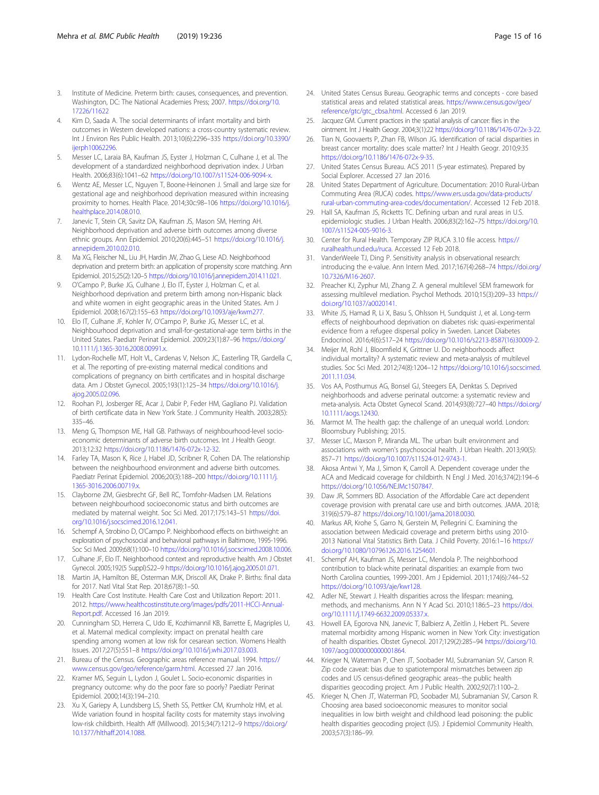- <span id="page-14-0"></span>3. Institute of Medicine. Preterm birth: causes, consequences, and prevention. Washington, DC: The National Academies Press; 2007. [https://doi.org/10.](https://doi.org/10.17226/11622) [17226/11622](https://doi.org/10.17226/11622)
- 4. Kim D, Saada A. The social determinants of infant mortality and birth outcomes in Western developed nations: a cross-country systematic review. Int J Environ Res Public Health. 2013;10(6):2296–335 [https://doi.org/10.3390/](https://doi.org/10.3390/ijerph10062296) [ijerph10062296](https://doi.org/10.3390/ijerph10062296)
- 5. Messer LC, Laraia BA, Kaufman JS, Eyster J, Holzman C, Culhane J, et al. The development of a standardized neighborhood deprivation index. J Urban Health. 2006;83(6):1041–62 [https://doi.org/10.1007/s11524-006-9094-x.](https://doi.org/10.1007/s11524-006-9094-x)
- 6. Wentz AE, Messer LC, Nguyen T, Boone-Heinonen J. Small and large size for gestational age and neighborhood deprivation measured within increasing proximity to homes. Health Place. 2014;30c:98–106 [https://doi.org/10.1016/j.](https://doi.org/10.1016/j.healthplace.2014.08.010) [healthplace.2014.08.010.](https://doi.org/10.1016/j.healthplace.2014.08.010)
- 7. Janevic T, Stein CR, Savitz DA, Kaufman JS, Mason SM, Herring AH. Neighborhood deprivation and adverse birth outcomes among diverse ethnic groups. Ann Epidemiol. 2010;20(6):445–51 [https://doi.org/10.1016/j.](https://doi.org/10.1016/j.annepidem.2010.02.010) [annepidem.2010.02.010.](https://doi.org/10.1016/j.annepidem.2010.02.010)
- 8. Ma XG, Fleischer NL, Liu JH, Hardin JW, Zhao G, Liese AD. Neighborhood deprivation and preterm birth: an application of propensity score matching. Ann Epidemiol. 2015;25(2):120–5 <https://doi.org/10.1016/j.annepidem.2014.11.021>.
- 9. O'Campo P, Burke JG, Culhane J, Elo IT, Eyster J, Holzman C, et al. Neighborhood deprivation and preterm birth among non-Hispanic black and white women in eight geographic areas in the United States. Am J Epidemiol. 2008;167(2):155–63 <https://doi.org/10.1093/aje/kwm277>.
- 10. Elo IT, Culhane JF, Kohler IV, O'Campo P, Burke JG, Messer LC, et al. Neighbourhood deprivation and small-for-gestational-age term births in the United States. Paediatr Perinat Epidemiol. 2009;23(1):87–96 [https://doi.org/](https://doi.org/10.1111/j.1365-3016.2008.00991.x) [10.1111/j.1365-3016.2008.00991.x](https://doi.org/10.1111/j.1365-3016.2008.00991.x).
- 11. Lydon-Rochelle MT, Holt VL, Cardenas V, Nelson JC, Easterling TR, Gardella C, et al. The reporting of pre-existing maternal medical conditions and complications of pregnancy on birth certificates and in hospital discharge data. Am J Obstet Gynecol. 2005;193(1):125–34 [https://doi.org/10.1016/j.](https://doi.org/10.1016/j.ajog.2005.02.096) [ajog.2005.02.096](https://doi.org/10.1016/j.ajog.2005.02.096).
- 12. Roohan PJ, Josberger RE, Acar J, Dabir P, Feder HM, Gagliano PJ. Validation of birth certificate data in New York State. J Community Health. 2003;28(5): 335–46.
- 13. Meng G, Thompson ME, Hall GB. Pathways of neighbourhood-level socioeconomic determinants of adverse birth outcomes. Int J Health Geogr. 2013;12:32 [https://doi.org/10.1186/1476-072x-12-32.](https://doi.org/10.1186/1476-072x-12-32)
- 14. Farley TA, Mason K, Rice J, Habel JD, Scribner R, Cohen DA. The relationship between the neighbourhood environment and adverse birth outcomes. Paediatr Perinat Epidemiol. 2006;20(3):188–200 [https://doi.org/10.1111/j.](https://doi.org/10.1111/j.1365-3016.2006.00719.x) [1365-3016.2006.00719.x](https://doi.org/10.1111/j.1365-3016.2006.00719.x).
- 15. Clayborne ZM, Giesbrecht GF, Bell RC, Tomfohr-Madsen LM. Relations between neighbourhood socioeconomic status and birth outcomes are mediated by maternal weight. Soc Sci Med. 2017;175:143–51 [https://doi.](https://doi.org/10.1016/j.socscimed.2016.12.041) [org/10.1016/j.socscimed.2016.12.041.](https://doi.org/10.1016/j.socscimed.2016.12.041)
- 16. Schempf A, Strobino D, O'Campo P. Neighborhood effects on birthweight: an exploration of psychosocial and behavioral pathways in Baltimore, 1995-1996. Soc Sci Med. 2009;68(1):100–10 <https://doi.org/10.1016/j.socscimed.2008.10.006>.
- 17. Culhane JF, Elo IT. Neighborhood context and reproductive health. Am J Obstet Gynecol. 2005;192(5 Suppl):S22–9 <https://doi.org/10.1016/j.ajog.2005.01.071>.
- 18. Martin JA, Hamilton BE, Osterman MJK, Driscoll AK, Drake P. Births: final data for 2017. Natl Vital Stat Rep. 2018;67(8):1–50.
- 19. Health Care Cost Institute. Health Care Cost and Utilization Report: 2011. 2012. [https://www.healthcostinstitute.org/images/pdfs/2011-HCCI-Annual-](https://www.healthcostinstitute.org/images/pdfs/2011-HCCI-Annual-Report.pdf)[Report.pdf](https://www.healthcostinstitute.org/images/pdfs/2011-HCCI-Annual-Report.pdf). Accessed 16 Jan 2019.
- 20. Cunningham SD, Herrera C, Udo IE, Kozhimannil KB, Barrette E, Magriples U, et al. Maternal medical complexity: impact on prenatal health care spending among women at low risk for cesarean section. Womens Health Issues. 2017;27(5):551–8 <https://doi.org/10.1016/j.whi.2017.03.003>.
- 21. Bureau of the Census. Geographic areas reference manual. 1994. [https://](https://www.census.gov/geo/reference/garm.html) [www.census.gov/geo/reference/garm.html.](https://www.census.gov/geo/reference/garm.html) Accessed 27 Jan 2016.
- 22. Kramer MS, Seguin L, Lydon J, Goulet L. Socio-economic disparities in pregnancy outcome: why do the poor fare so poorly? Paediatr Perinat Epidemiol. 2000;14(3):194–210.
- 23. Xu X, Gariepy A, Lundsberg LS, Sheth SS, Pettker CM, Krumholz HM, et al. Wide variation found in hospital facility costs for maternity stays involving low-risk childbirth. Health Aff (Millwood). 2015;34(7):1212–9 [https://doi.org/](https://doi.org/10.1377/hlthaff.2014.1088) [10.1377/hlthaff.2014.1088.](https://doi.org/10.1377/hlthaff.2014.1088)
- 24. United States Census Bureau. Geographic terms and concepts core based statistical areas and related statistical areas. [https://www.census.gov/geo/](https://www.census.gov/geo/reference/gtc/gtc_cbsa.html) [reference/gtc/gtc\\_cbsa.html](https://www.census.gov/geo/reference/gtc/gtc_cbsa.html). Accessed 6 Jan 2019.
- 25. Jacquez GM. Current practices in the spatial analysis of cancer: flies in the ointment. Int J Health Geogr. 2004;3(1):22 <https://doi.org/10.1186/1476-072x-3-22>.
- 26. Tian N, Goovaerts P, Zhan FB, Wilson JG. Identification of racial disparities in breast cancer mortality: does scale matter? Int J Health Geogr. 2010;9:35 <https://doi.org/10.1186/1476-072x-9-35>.
- 27. United States Census Bureau. ACS 2011 (5-year estimates). Prepared by Social Explorer. Accessed 27 Jan 2016.
- 28. United States Department of Agriculture. Documentation: 2010 Rural-Urban Commuting Area (RUCA) codes. [https://www.ers.usda.gov/data-products/](https://www.ers.usda.gov/data-products/rural-urban-commuting-area-codes/documentation/) [rural-urban-commuting-area-codes/documentation/](https://www.ers.usda.gov/data-products/rural-urban-commuting-area-codes/documentation/). Accessed 12 Feb 2018.
- 29. Hall SA, Kaufman JS, Ricketts TC. Defining urban and rural areas in U.S. epidemiologic studies. J Urban Health. 2006;83(2):162–75 [https://doi.org/10.](https://doi.org/10.1007/s11524-005-9016-3) [1007/s11524-005-9016-3](https://doi.org/10.1007/s11524-005-9016-3).
- 30. Center for Rural Health. Temporary ZIP RUCA 3.10 file access. [https://](https://ruralhealth.und.edu/ruca) [ruralhealth.und.edu/ruca](https://ruralhealth.und.edu/ruca). Accessed 12 Feb 2018.
- 31. VanderWeele TJ, Ding P. Sensitivity analysis in observational research: introducing the e-value. Ann Intern Med. 2017;167(4):268–74 [https://doi.org/](https://doi.org/10.7326/M16-2607) [10.7326/M16-2607.](https://doi.org/10.7326/M16-2607)
- 32. Preacher KJ, Zyphur MJ, Zhang Z. A general multilevel SEM framework for assessing multilevel mediation. Psychol Methods. 2010;15(3):209–33 [https://](https://doi.org/10.1037/a0020141) [doi.org/10.1037/a0020141](https://doi.org/10.1037/a0020141).
- 33. White JS, Hamad R, Li X, Basu S, Ohlsson H, Sundquist J, et al. Long-term effects of neighbourhood deprivation on diabetes risk: quasi-experimental evidence from a refugee dispersal policy in Sweden. Lancet Diabetes Endocrinol. 2016;4(6):517–24 [https://doi.org/10.1016/s2213-8587\(16\)30009-2](https://doi.org/10.1016/s2213-8587(16)30009-2).
- 34. Meijer M, Rohl J, Bloomfield K, Grittner U. Do neighborhoods affect individual mortality? A systematic review and meta-analysis of multilevel studies. Soc Sci Med. 2012;74(8):1204–12 [https://doi.org/10.1016/j.socscimed.](https://doi.org/10.1016/j.socscimed.2011.11.034) [2011.11.034.](https://doi.org/10.1016/j.socscimed.2011.11.034)
- 35. Vos AA, Posthumus AG, Bonsel GJ, Steegers EA, Denktas S. Deprived neighborhoods and adverse perinatal outcome: a systematic review and meta-analysis. Acta Obstet Gynecol Scand. 2014;93(8):727–40 [https://doi.org/](https://doi.org/10.1111/aogs.12430) [10.1111/aogs.12430.](https://doi.org/10.1111/aogs.12430)
- 36. Marmot M. The health gap: the challenge of an unequal world. London: Bloomsbury Publishing; 2015.
- 37. Messer LC, Maxson P, Miranda ML. The urban built environment and associations with women's psychosocial health. J Urban Health. 2013;90(5): 857–71 [https://doi.org/10.1007/s11524-012-9743-1.](https://doi.org/10.1007/s11524-012-9743-1)
- 38. Akosa Antwi Y, Ma J, Simon K, Carroll A. Dependent coverage under the ACA and Medicaid coverage for childbirth. N Engl J Med. 2016;374(2):194–6 [https://doi.org/10.1056/NEJMc1507847.](https://doi.org/10.1056/NEJMc1507847)
- 39. Daw JR, Sommers BD. Association of the Affordable Care act dependent coverage provision with prenatal care use and birth outcomes. JAMA. 2018; 319(6):579–87 [https://doi.org/10.1001/jama.2018.0030.](https://doi.org/10.1001/jama.2018.0030)
- 40. Markus AR, Krohe S, Garro N, Gerstein M, Pellegrini C. Examining the association between Medicaid coverage and preterm births using 2010- 2013 National Vital Statistics Birth Data. J Child Poverty. 2016:1–16 [https://](https://doi.org/10.1080/10796126.2016.1254601) [doi.org/10.1080/10796126.2016.1254601.](https://doi.org/10.1080/10796126.2016.1254601)
- 41. Schempf AH, Kaufman JS, Messer LC, Mendola P. The neighborhood contribution to black-white perinatal disparities: an example from two North Carolina counties, 1999-2001. Am J Epidemiol. 2011;174(6):744–52 [https://doi.org/10.1093/aje/kwr128.](https://doi.org/10.1093/aje/kwr128)
- 42. Adler NE, Stewart J. Health disparities across the lifespan: meaning, methods, and mechanisms. Ann N Y Acad Sci. 2010;1186:5–23 [https://doi.](https://doi.org/10.1111/j.1749-6632.2009.05337.x) [org/10.1111/j.1749-6632.2009.05337.x](https://doi.org/10.1111/j.1749-6632.2009.05337.x).
- 43. Howell EA, Egorova NN, Janevic T, Balbierz A, Zeitlin J, Hebert PL. Severe maternal morbidity among Hispanic women in New York City: investigation of health disparities. Obstet Gynecol. 2017;129(2):285–94 [https://doi.org/10.](https://doi.org/10.1097/aog.0000000000001864) [1097/aog.0000000000001864](https://doi.org/10.1097/aog.0000000000001864).
- 44. Krieger N, Waterman P, Chen JT, Soobader MJ, Subramanian SV, Carson R. Zip code caveat: bias due to spatiotemporal mismatches between zip codes and US census-defined geographic areas--the public health disparities geocoding project. Am J Public Health. 2002;92(7):1100–2.
- 45. Krieger N, Chen JT, Waterman PD, Soobader MJ, Subramanian SV, Carson R. Choosing area based socioeconomic measures to monitor social inequalities in low birth weight and childhood lead poisoning: the public health disparities geocoding project (US). J Epidemiol Community Health. 2003;57(3):186–99.